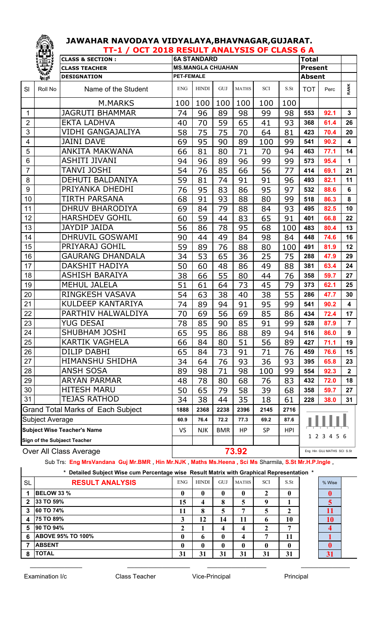|                | TT-1 / OCT 2018 RESULT ANALYSIS OF CLASS 6 A<br><b>131</b> |                                          |                   |                          |              |              |      |             |                |                            |                         |
|----------------|------------------------------------------------------------|------------------------------------------|-------------------|--------------------------|--------------|--------------|------|-------------|----------------|----------------------------|-------------------------|
|                |                                                            | <b>CLASS &amp; SECTION:</b>              |                   | <b>6A STANDARD</b>       | <b>Total</b> |              |      |             |                |                            |                         |
|                | 豊                                                          | <b>CLASS TEACHER</b>                     |                   | <b>MS.MANGLA CHUAHAN</b> |              |              |      |             | <b>Present</b> |                            |                         |
|                | 美學                                                         | <b>DESIGNATION</b>                       | <b>PET-FEMALE</b> |                          |              |              |      |             | <b>Absent</b>  |                            |                         |
| SI             | Roll No                                                    | Name of the Student                      | <b>ENG</b>        | <b>HINDI</b>             | GUJ          | <b>MATHS</b> | SCI  | S.St        | <b>TOT</b>     | Perc                       | <b>RANK</b>             |
|                |                                                            | M.MARKS                                  | 100               | 100                      | 100          | 100          | 100  | 100         |                |                            |                         |
| 1              |                                                            | <b>JAGRUTI BHAMMAR</b>                   | 74                | 96                       | 89           | 98           | 99   | 98          | 553            | 92.1                       | $\mathbf{3}$            |
| $\overline{2}$ |                                                            | <b>EKTA LADHVA</b>                       | 40                | 70                       | 59           | 65           | 41   | 93          | 368            | 61.4                       | 26                      |
| 3              |                                                            | VIDHI GANGAJALIYA                        | 58                | 75                       | 75           | 70           | 64   | 81          | 423            | 70.4                       | 20                      |
| 4              |                                                            | <b>JAINI DAVE</b>                        | 69                | 95                       | 90           | 89           | 100  | 99          | 541            | 90.2                       | $\overline{\mathbf{4}}$ |
| 5              |                                                            | <b>ANKITA MAKWANA</b>                    | 66                | 81                       | 80           | 71           | 70   | 94          | 463            | 77.1                       | 14                      |
| 6              |                                                            | <b>ASHITI JIVANI</b>                     | 94                | 96                       | 89           | 96           | 99   | 99          | 573            | 95.4                       | $\mathbf{1}$            |
| $\overline{7}$ |                                                            | TANVI JOSHI                              | 54                | 76                       | 85           | 66           | 56   | 77          | 414            | 69.1                       | 21                      |
| 8              |                                                            | <b>DEHUTI BALDANIYA</b>                  | 59                | 81                       | 74           | 91           | 91   | 96          | 493            | 82.1                       | 11                      |
| 9              |                                                            | PRIYANKA DHEDHI                          | 76                | 95                       | 83           | 86           | 95   | 97          | 532            | 88.6                       | 6                       |
| 10             |                                                            | TIRTH PARSANA                            | 68                | 91                       | 93           | 88           | 80   | 99          | 518            | 86.3                       | 8                       |
| 11             |                                                            | <b>DHRUV BHARODIYA</b>                   | 69                | 84                       | 79           | 88           | 84   | 93          | 495            | 82.5                       | 10                      |
| 12             |                                                            | <b>HARSHDEV GOHIL</b>                    | 60                | 59                       | 44           | 83           | 65   | 91          | 401            | 66.8                       | 22                      |
| 13             |                                                            | <b>JAYDIP JAIDA</b>                      | 56                | 86                       | 78           | 95           | 68   | 100         | 483            | 80.4                       | 13                      |
| 14             |                                                            | DHRUVIL GOSWAMI                          | 90                | 44                       | 49           | 84           | 98   | 84          | 448            | 74.6                       | 16                      |
| 15             |                                                            | PRIYARAJ GOHIL                           | 59                | 89                       | 76           | 88           | 80   | 100         | 491            | 81.9                       | 12                      |
| 16             |                                                            | <b>GAURANG DHANDALA</b>                  | 34                | 53                       | 65           | 36           | 25   | 75          | 288            | 47.9                       | 29                      |
| 17             |                                                            | DAKSHIT HADIYA                           | 50                | 60                       | 48           | 86           | 49   | 88          | 381            | 63.4                       | 24                      |
| 18             |                                                            | ASHISH BARAIYA                           | 38                | 66                       | 55           | 80           | 44   | 76          | 358            | 59.7                       | 27                      |
| 19             |                                                            | <b>MEHUL JALELA</b>                      | 51                | 61                       | 64           | 73           | 45   | 79          | 373            | 62.1                       | 25                      |
| 20             |                                                            | RINGKESH VASAVA                          | 54                | 63                       | 38           | 40           | 38   | 55          | 286            | 47.7                       | 30                      |
| 21             |                                                            | <b>KULDEEP KANTARIYA</b>                 | 74                | 89                       | 94           | 91           | 95   | 99          | 541            | 90.2                       | $\overline{\mathbf{4}}$ |
| 22             |                                                            | PARTHIV HALWALDIYA                       | 70                | 69                       | 56           | 69           | 85   | 86          | 434            | 72.4                       | 17                      |
| 23             |                                                            | <b>YUG DESAI</b>                         | 78                | 85                       | 90           | 85           | 91   | 99          | 528            | 87.9                       | $\overline{7}$          |
| 24             |                                                            | <b>SHUBHAM JOSHI</b>                     | 65                | 95                       | 86           | 88           | 89   | 94          | 516            | 86.0                       | 9                       |
| 25             |                                                            | <b>KARTIK VAGHELA</b>                    | 66                | 84                       | 80           | 51           | 56   | 89          | 427            | 71.1                       | 19                      |
| 26             |                                                            | <b>DILIP DABHI</b>                       | 65                | 84                       | 73           | 91           | 71   | 76          | 459            | 76.6                       | 15                      |
| 27             |                                                            | <b>HIMANSHU SHIDHA</b>                   | 34                | 64                       | 76           | 93           | 36   | 93          | 395            | 65.8                       | 23                      |
| 28             |                                                            | <b>ANSH SOSA</b>                         | 89                | 98                       | 71           | 98           | 100  | 99          | 554            | 92.3                       | $\mathbf{2}$            |
| 29             |                                                            | <b>ARYAN PARMAR</b>                      | 48                | 78                       | 80           | 68           | 76   | 83          | 432            | 72.0                       | 18                      |
| 30             |                                                            | <b>HITESH MARU</b>                       | 50                | 65                       | 79           | 58           | 39   | 68          | 358            | 59.7                       | 27                      |
| 31             |                                                            | <b>TEJAS RATHOD</b>                      | 34                | 38                       | 44           | 35           | 18   | 61          | 228            | 38.0                       | 31                      |
|                |                                                            | <b>Grand Total Marks of Each Subject</b> | 1888              | 2368                     | 2238         | 2396         | 2145 | 2716        |                |                            |                         |
|                | Subject Average                                            |                                          | 60.9              | 76.4                     | 72.2         | 77.3         | 69.2 | 87.6        |                |                            |                         |
|                | <b>Subject Wise Teacher's Name</b>                         |                                          | VS                | <b>NJK</b>               | <b>BMR</b>   | HP           | SP   | <b>HPI</b>  |                |                            |                         |
|                | Sign of the Subjaect Teacher                               |                                          |                   |                          |              |              |      | 1 2 3 4 5 6 |                |                            |                         |
|                |                                                            | Over All Class Average                   |                   |                          |              | 73.92        |      |             |                | Eng Hin GUJ MATHS SCI S.St |                         |

Sub Trs: **Eng MrsVandana Guj Mr.BMR** , **Hin Mr.NJK** , **Maths Ms.Heena , Sci Ms** Sharmila, **S.St Mr.H.P.Ingle** ,

**\* Detailed Subject Wise cum Percentage wise Result Matrix with Graphical Representation \***

| *<br>Detailed Subject Wise cum Percentage wise Result Matrix with Graphical Representation * |                          |            |              |              |              |            |              |  |        |  |  |
|----------------------------------------------------------------------------------------------|--------------------------|------------|--------------|--------------|--------------|------------|--------------|--|--------|--|--|
| <b>SL</b>                                                                                    | <b>RESULT ANALYSIS</b>   | <b>ENG</b> | <b>HINDI</b> | GUJ          | <b>MATHS</b> | <b>SCI</b> | S.St         |  | % Wise |  |  |
|                                                                                              | <b>BELOW 33 %</b>        | o          | 0            | 0            | 0            |            | $\mathbf{0}$ |  |        |  |  |
| $\mathbf{2}$                                                                                 | 33 TO 59%                | 15         | 4            | 8            | 5            | q          |              |  |        |  |  |
| $\overline{3}$                                                                               | 60 TO 74%                | 11         | 8            | 5            | 7            | 5          | ኅ            |  |        |  |  |
| 4                                                                                            | <b>75 TO 89%</b>         | 3          | 12           | 14           | 11           | b          | 10           |  | 10     |  |  |
| 5                                                                                            | 90 TO 94%                | ി          |              | 4            | 4            |            | −            |  |        |  |  |
| -6                                                                                           | <b>ABOVE 95% TO 100%</b> | 0          | $\mathbf{v}$ | $\mathbf{0}$ | 4            | ៗ          | 11           |  |        |  |  |
|                                                                                              | <b>ABSENT</b>            | 0          | 0            | $\mathbf{0}$ | $\mathbf 0$  | 0          | $\mathbf{0}$ |  |        |  |  |
| 8                                                                                            | <b>TOTAL</b>             | 31         | 31           | 31           | 31           | 31         | 31           |  | 31     |  |  |

 $\_$  , and the set of the set of the set of the set of the set of the set of the set of the set of the set of the set of the set of the set of the set of the set of the set of the set of the set of the set of the set of th

Examination I/c **Class Teacher** Vice-Principal Principal Principal

 $\mathscr{E} \supseteq \mathscr{E}$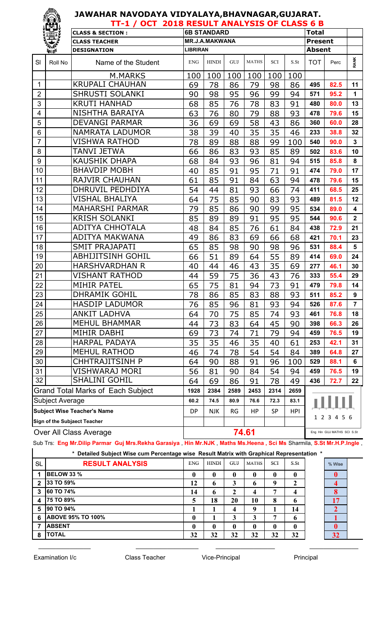|         | JΑ |
|---------|----|
|         | Δ  |
|         |    |
| 大学      | ES |
| Roll No |    |

| RA HOLLY DAY<br>JAWAHAR NAVODAYA VIDYALAYA,BHAVNAGAR,GUJARAT.<br>ನಿ |             |                                              |                 |                       |     |              |     |      |                |      |              |
|---------------------------------------------------------------------|-------------|----------------------------------------------|-----------------|-----------------------|-----|--------------|-----|------|----------------|------|--------------|
|                                                                     |             | TT-1 / OCT 2018 RESULT ANALYSIS OF CLASS 6 B |                 |                       |     |              |     |      |                |      |              |
|                                                                     |             | <b>CLASS &amp; SECTION:</b>                  |                 | <b>6B STANDARD</b>    |     |              |     |      | <b>Total</b>   |      |              |
|                                                                     |             | <b>CLASS TEACHER</b>                         |                 | <b>MR.J.A.MAKWANA</b> |     |              |     |      | <b>Present</b> |      |              |
|                                                                     | <b>VITE</b> | <b>DESIGNATION</b>                           | <b>LIBRIRAN</b> |                       |     |              |     |      | <b>Absent</b>  |      |              |
| SI                                                                  | Roll No     | Name of the Student                          | <b>ENG</b>      | <b>HINDI</b>          | GUJ | <b>MATHS</b> | SCI | S.St | <b>TOT</b>     | Perc | RANK         |
|                                                                     |             | M.MARKS                                      | 100             | 100                   | 100 | 100          | 100 | 100  |                |      |              |
| $\mathbf{1}$                                                        |             | <b>KRUPALI CHAUHAN</b>                       | 69              | 78                    | 86  | 79           | 98  | 86   | 495            | 82.5 | 11           |
| $\overline{2}$                                                      |             | SHRUSTI SOLANKI                              | 90              | 98                    | 95  | 96           | 99  | 94   | 571            | 95.2 | $\mathbf{1}$ |
| 3                                                                   |             | <b>KRUTI HANHAD</b>                          | 68              | 85                    | 76  | 78           | 83  | 91   | 480            | 80.0 | 13           |
| $\overline{\mathbf{4}}$                                             |             | NISHTHA BARAIYA                              | 63              | 76                    | 80  | 79           | 88  | 93   | 478            | 79.6 | 15           |
| 5                                                                   |             | <b>DEVANGI PARMAR</b>                        | 36              | 69                    | 69  | 58           | 43  | 86   | 360            | 60.0 | 28           |
| $\,6$                                                               |             | <b>NAMRATA LADUMOR</b>                       | 38              | 39                    | 40  | 35           | 35  | 46   | 233            | 38.8 | 32           |
| $\overline{7}$                                                      |             | <b>VISHWA RATHOD</b>                         | 78              | 89                    | 88  | 88           | 99  | 100  | 540            | 90.0 | 3            |
| 8                                                                   |             | <b>TANVI JETWA</b>                           | 66              | 86                    | 83  | 93           | 85  | 89   | 502            | 83.6 | 10           |
| 9                                                                   |             | <b>KAUSHIK DHAPA</b>                         | 68              | 84                    | 93  | 96           | 81  | 94   | 515            | 85.8 | 8            |
| 10                                                                  |             | <b>BHAVDIP MOBH</b>                          | 40              | 85                    | 91  | 95           | 71  | 91   | 474            | 79.0 | 17           |
| 11                                                                  |             | <b>RAJVIR CHAUHAN</b>                        | 61              | 85                    | 91  | 84           | 63  | 94   | 478            | 79.6 | 15           |
| 12                                                                  |             | <b>DHRUVIL PEDHDIYA</b>                      | 54              | 44                    | 81  | 93           | 66  | 74   | 411            | 68.5 | 25           |
| 13                                                                  |             | <b>VISHAL BHALIYA</b>                        | 64              | 75                    | 85  | 90           | 83  | 93   | 489            | 81.5 | 12           |
| 14                                                                  |             | <b>MAHARSHI PARMAR</b>                       | 79              | 85                    | 86  | 90           | 99  | 95   | 534            | 89.0 | 4            |
| 15                                                                  |             | <b>KRISH SOLANKI</b>                         | 85              | 89                    | 89  | 91           | 95  | 95   | 544            | 90.6 | $\mathbf{2}$ |
| 16                                                                  |             | <b>ADITYA CHHOTALA</b>                       | 48              | 84                    | 85  | 76           | 61  | 84   | 438            | 72.9 | 21           |
| 17                                                                  |             | <b>ADITYA MAKWANA</b>                        | 49              | 86                    | 83  | 69           | 66  | 68   | 421            | 70.1 | 23           |
| 18                                                                  |             | <b>SMIT PRAJAPATI</b>                        | 65              | 85                    | 98  | 90           | 98  | 96   | 531            | 88.4 | 5            |
| 19                                                                  |             | <b>ABHIJITSINH GOHIL</b>                     | 66              | 51                    | 89  | 64           | 55  | 89   | 414            | 69.0 | 24           |
| 20                                                                  |             | <b>HARSHVARDHAN R</b>                        | 40              | 44                    | 46  | 43           | 35  | 69   | 277            | 46.1 | 30           |
| 21                                                                  |             | <b>VISHANT RATHOD</b>                        | 44              | 59                    | 75  | 36           | 43  | 76   | 333            | 55.4 | 29           |
| 22                                                                  |             | <b>MIHIR PATEL</b>                           | 65              | 75                    | 81  | 94           | 73  | 91   | 479            | 79.8 | 14           |
| 23                                                                  |             | <b>DHRAMIK GOHIL</b>                         | 78              | 86                    | 85  | 83           | 88  | 93   | 511            | 85.2 | 9            |

| 30 | <b>CHHTRAJITSINH P</b>                                                                                                   | 64   | 90   | 88    | 91   | 96   | 100  | 529 | 88.1                       |    |
|----|--------------------------------------------------------------------------------------------------------------------------|------|------|-------|------|------|------|-----|----------------------------|----|
| 31 | <b>VISHWARAJ MORI</b>                                                                                                    | 56   | 81   | 90    | 84   | 54   | 94   | 459 | 76.5                       | 19 |
| 32 | <b>SHALINI GOHIL</b>                                                                                                     | 64   | 69   | 86    | 91   | 78   | 49   | 436 | 72.7                       | 22 |
|    | <b>Grand Total Marks of Each Subject</b>                                                                                 | 1928 | 2384 | 2589  | 2453 | 2314 | 2659 |     |                            |    |
|    | Subject Average                                                                                                          | 60.2 | 74.5 | 80.9  | 76.6 | 72.3 | 83.1 |     |                            |    |
|    | <b>Subject Wise Teacher's Name</b><br>HPI<br>RG<br>HP<br><b>SP</b><br><b>NJK</b><br>DP.                                  |      |      |       |      |      |      |     |                            |    |
|    | Sign of the Subjaect Teacher                                                                                             |      |      |       |      |      |      |     | 1 2 3 4 5 6                |    |
|    | Over All Class Average                                                                                                   |      |      | 74.61 |      |      |      |     | Eng Hin GUJ MATHS SCI S.St |    |
|    | Sub Trs: Eng Mr.Dilip Parmar Guj Mrs.Rekha Garasiya , Hin Mr.NJK , Maths Ms.Heena , Sci Ms Sharmila, S.St Mr.H.P.Ingle , |      |      |       |      |      |      |     |                            |    |

 HASDIP LADUMOR 76 85 96 81 93 94 **526 87.6 7** ANKIT LADHVA 64 70 75 85 74 93 **461 76.8 18** MEHUL BHAMMAR 44 73 83 64 45 90 **398 66.3 26** MIHIR DABHI 69 73 74 71 79 94 **459 76.5 19** HARPAL PADAYA 35 35 46 35 40 61 **253 42.1 31** MEHUL RATHOD 46 74 78 54 54 84 **389 64.8 27**

**\* Detailed Subject Wise cum Percentage wise Result Matrix with Graphical Representation \***

\_\_\_\_\_\_\_\_\_\_\_\_\_\_\_ \_\_\_\_\_\_\_\_\_\_\_\_\_\_\_\_\_\_ \_\_\_\_\_\_\_\_\_\_\_\_\_\_\_\_\_ \_\_\_\_\_\_\_\_\_\_\_\_\_\_

| <b>SL</b>      | <b>RESULT ANALYSIS</b>   | <b>ENG</b>  | <b>HINDI</b> | <b>GUJ</b> | <b>MATHS</b> | <b>SCI</b>   | S.St         | % Wise |
|----------------|--------------------------|-------------|--------------|------------|--------------|--------------|--------------|--------|
| 1              | <b>BELOW 33 %</b>        | 0           | 0            | 0          | 0            | 0            | $\mathbf{0}$ |        |
| $\overline{2}$ | 33 TO 59%                | 12          | 6            | 3          | 6            | 9            | 2            |        |
| 3              | 60 TO 74%                | 14          | 6            |            | 4            | 7            | 4            |        |
| 4              | <b>75 TO 89%</b>         | 5           | 18           | 20         | 10           | 8            | 6            | 17     |
| 5              | 90 TO 94%                |             |              | 4          | 9            |              | 14           |        |
| 6              | <b>ABOVE 95% TO 100%</b> | $\mathbf 0$ |              | 3          | 3            | 7            | 6            |        |
|                | <b>ABSENT</b>            | 0           | 0            | 0          | 0            | $\mathbf{0}$ | $\mathbf{0}$ |        |
| 8              | <b>TOTAL</b>             | 32          | 32           | 32         | 32           | 32           | 32           | 32     |
|                |                          |             |              |            |              |              |              |        |

Examination I/c **Class Teacher** Vice-Principal Principal

 $\mathbf{I}$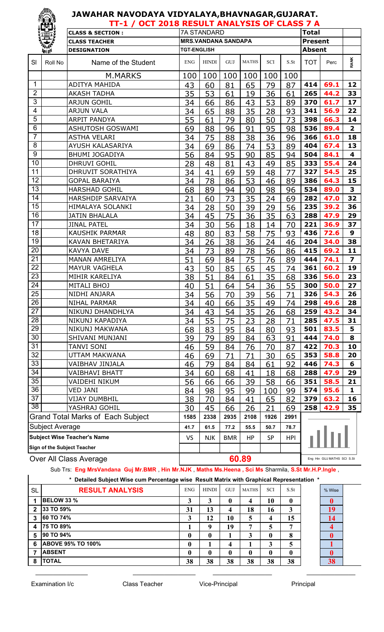|                  | ïÊÏ,                   | TT-1 / OCT 2018 RESULT ANALYSIS OF CLASS 7 A |                    |                            |            |              |      |            |                |                            |                         |
|------------------|------------------------|----------------------------------------------|--------------------|----------------------------|------------|--------------|------|------------|----------------|----------------------------|-------------------------|
|                  |                        | <b>CLASS &amp; SECTION:</b>                  |                    | <b>7A STANDARD</b>         |            |              |      |            | <b>Total</b>   |                            |                         |
|                  | 覺                      | <b>CLASS TEACHER</b>                         |                    | <b>MRS.VANDANA SANDAPA</b> |            |              |      |            | <b>Present</b> |                            |                         |
|                  | 美好                     | <b>DESIGNATION</b>                           | <b>TGT-ENGLISH</b> |                            |            |              |      |            | <b>Absent</b>  |                            |                         |
| <b>SI</b>        | Roll No                | Name of the Student                          | <b>ENG</b>         | <b>HINDI</b>               | GUJ        | <b>MATHS</b> | SCI  | S.St       | <b>TOT</b>     | Perc                       | <b>RANK</b>             |
|                  |                        | M.MARKS                                      | 100                | 100                        | 100        | 100          | 100  | 100        |                |                            |                         |
| $\mathbf{1}$     |                        | <b>ADITYA MAHIDA</b>                         | 43                 | 60                         | 81         | 65           | 79   | 87         | 414            | 69.1                       | 12                      |
| $\overline{2}$   |                        | <b>AKASH TADHA</b>                           | 35                 | 53                         | 61         | 19           | 36   | 61         | 265            | 44.2                       | 33                      |
| $\mathfrak{S}$   |                        | <b>ARJUN GOHIL</b>                           | 34                 | 66                         | 86         | 43           | 53   | 89         | 370            | 61.7                       | 17                      |
| 4                |                        | <b>ARJUN VALA</b>                            | 34                 | 65                         | 88         | 35           | 28   | 93         | 341            | 56.9                       | 22                      |
| 5                |                        | <b>ARPIT PANDYA</b>                          | 55                 | 61                         | 79         | 80           | 50   | 73         | 398            | 66.3                       | 14                      |
| $6\phantom{1}6$  |                        | <b>ASHUTOSH GOSWAMI</b>                      | 69                 | 88                         | 96         | 91           | 95   | 98         | 536            | 89.4                       | $\overline{\mathbf{2}}$ |
| $\overline{7}$   |                        | <b>ASTHA VELARI</b>                          | 34                 | 75                         | 88         | 38           | 36   | 96         | 366            | 61.0                       | 18                      |
| 8                |                        | AYUSH KALASARIYA                             | 34                 | 69                         | 86         | 74           | 53   | 89         | 404            | 67.4                       | 13                      |
| $\boldsymbol{9}$ |                        | <b>BHUMI JOGADIYA</b>                        | 56                 | 84                         | 95         | 90           | 85   | 94         | 504            | 84.1                       | 4                       |
| 10               |                        | <b>DHRUVI GOHIL</b>                          | 28                 | 48                         | 81         | 43           | 49   | 85         | 333            | 55.4                       | 24                      |
| 11               |                        | DHRUVIT SORATHIYA                            | 34                 | 41                         | 69         | 59           | 48   | 77         | 327            | 54.5                       | 25                      |
| 12               |                        | <b>GOPAL BARAIYA</b>                         | 34                 | 78                         | 86         | 53           | 46   | 89         | 386            | 64.3                       | 15                      |
| 13               |                        | <b>HARSHAD GOHIL</b>                         | 68                 | 89                         | 94         | 90           | 98   | 96         | 534            | 89.0                       | 3                       |
| 14               |                        | HARSHDIP SARVAIYA                            | 21                 | 60                         | 73         | 35           | 24   | 69         | 282            | 47.0                       | 32                      |
| 15               |                        | HIMALAYA SOLANKI                             | 34                 | 28                         | 50         | 39           | 29   | 56         | 235            | 39.2                       | 36                      |
| 16               |                        | <b>JATIN BHALALA</b>                         | 34                 | 45                         | 75         | 36           | 35   | 63         | 288            | 47.9                       | 29                      |
| $\overline{17}$  |                        | <b>JINAL PATEL</b>                           | 34                 | 30                         | 56         | 18           | 14   | 70         | 221            | 36.9                       | 37                      |
| 18               |                        | <b>KAUSHIK PARMAR</b>                        | 48                 | 80                         | 83         | 58           | 75   | 93         | 436            | 72.6                       | $\mathbf{9}$            |
| 19               |                        | <b>KAVAN BHETARIYA</b>                       | 34                 | 26                         | 38         | 36           | 24   | 46         | 204            | 34.0                       | 38                      |
| 20               |                        | <b>KAVYA DAVE</b>                            | 34                 | 73                         | 89         | 78           | 56   | 86         | 415            | 69.2                       | 11                      |
| $\overline{21}$  |                        | <b>MANAN AMRELIYA</b>                        | 51                 | 69                         | 84         | 75           | 76   | 89         | 444            | 74.1                       | $\overline{\mathbf{z}}$ |
| 22               |                        | <b>MAYUR VAGHELA</b>                         | 43                 | 50                         | 85         | 65           | 45   | 74         | 361            | 60.2                       | 19                      |
| 23               |                        | MIHIR KARELIYA                               | 38                 | 51                         | 84         | 61           | 35   | 68         | 336            | 56.0                       | 23                      |
| $\overline{24}$  |                        | <b>MITALI BHOJ</b>                           | 40                 | 51                         | 64         | 54           | 36   | 55         | 300            | 50.0                       | 27                      |
| $\overline{25}$  |                        | NIDHI ANJARA                                 | 34                 | 56                         | 70         | 39           | 56   | 71         | 326            | 54.3                       | 26                      |
| 26               |                        | NIHAL PARMAR                                 | 34                 | 40                         | 66         | 35           | 49   | 74         |                | $\overline{298}$ 49.6      | $\overline{28}$         |
| 27               |                        | NIKUNJ DHANDHLYA                             | 34                 | 43                         | 54         | 35           | 26   | 68         | 259            | 43.2                       | 34                      |
| 28               |                        | NIKUNJ KAPADIYA                              | 34                 | 55                         | 75         | 23           | 28   | 71         | 285            | 47.5                       | 31                      |
| 29               |                        | NIKUNJ MAKWANA                               | 68                 | 83                         | 95         | 84           | 80   | 93         | 501            | 83.5                       | 5                       |
| 30               |                        | SHIVANI MUNJANI                              | 39                 | 79                         | 89         | 84           | 63   | 91         | 444            | 74.0                       | 8                       |
| 31               |                        | <b>TANVI SONI</b>                            | 46                 | 59                         | 84         | 76           | 70   | 87         | 422            | 70.3                       | 10                      |
| 32               |                        | UTTAM MAKWANA                                | 46                 | 69                         | 71         | 71           | 30   | 65         | 353            | 58.8                       | 20                      |
| 33               |                        | VAIBHAV JINJALA                              | 46                 | 79                         | 84         | 84           | 61   | 92         | 446            | 74.3                       | 6                       |
| 34               |                        | VAIBHAVI BHATT                               | 34                 | 60                         | 68         | 41           | 18   | 68         | 288            | 47.9                       | 29                      |
| 35               |                        | VAIDEHI NIKUM                                | 56                 | 66                         | 66         | 39           | 58   | 66         | 351            | 58.5                       | 21                      |
| 36               |                        | VED JANI                                     | 84                 | 98                         | 95         | 99           | 100  | 99         | 574            | 95.6                       | 1                       |
| 37               |                        | VIJAY DUMBHIL                                | 38                 | 70                         | 84         | 41           | 65   | 82         | 379            | 63.2                       | 16                      |
| $\overline{38}$  |                        | YASHRAJ GOHIL                                | 30                 | 45                         | 66         | 26           | 21   | 69         | 258            | 42.9                       | 35                      |
|                  |                        | <b>Grand Total Marks of Each Subject</b>     | 1585               | 2338                       | 2935       | 2108         | 1926 | 2991       |                |                            |                         |
|                  | <b>Subject Average</b> |                                              | 41.7               | 61.5                       | 77.2       | 55.5         | 50.7 | 78.7       |                |                            |                         |
|                  |                        | <b>Subject Wise Teacher's Name</b>           | VS.                | <b>NJK</b>                 | <b>BMR</b> | HP           | SP   | <b>HPI</b> |                |                            |                         |
|                  |                        | Sign of the Subject Teacher                  |                    |                            |            |              |      |            |                |                            |                         |
|                  |                        | Over All Class Average                       |                    |                            |            | 60.89        |      |            |                | Eng Hin GUJ MATHS SCI S.St |                         |

Sub Trs: **Eng MrsVandana Guj Mr.BMR** , **Hin Mr.NJK** , **Maths Ms.Heena , Sci Ms** Sharmila, **S.St Mr.H.P.Ingle** ,

**\* Detailed Subject Wise cum Percentage wise Result Matrix with Graphical Representation \***

| Detailed Subject Wise cum Percentage wise Result Matrix with Graphical Representation *<br>* |                          |              |              |              |              |            |      |  |              |  |  |
|----------------------------------------------------------------------------------------------|--------------------------|--------------|--------------|--------------|--------------|------------|------|--|--------------|--|--|
| <b>SL</b>                                                                                    | <b>RESULT ANALYSIS</b>   | <b>ENG</b>   | <b>HINDI</b> | GUJ          | <b>MATHS</b> | <b>SCI</b> | S St |  | % Wise       |  |  |
|                                                                                              | <b>BELOW 33 %</b>        | 3            | 3            | 0            | 4            | 10         | 0    |  | $\bf{0}$     |  |  |
| $\mathfrak{p}$                                                                               | 33 TO 59%                | 31           | 13           | 4            | 18           | 16         | 3    |  | 19           |  |  |
| 3                                                                                            | <b>60 TO 74%</b>         | 3            | 12           | 10           | 5            |            | 15   |  | 14           |  |  |
| 4                                                                                            | <b>75 TO 89%</b>         |              | Q            | 19           | ៗ            | 5          | 7    |  | 4            |  |  |
| 5                                                                                            | 90 TO 94%                | $\mathbf{0}$ | 0            |              | 3            | 0          | 8    |  | $\mathbf{0}$ |  |  |
| 6                                                                                            | <b>ABOVE 95% TO 100%</b> | $\mathbf{0}$ |              | 4            |              | 3          | 5    |  |              |  |  |
|                                                                                              | <b>ABSENT</b>            | $\mathbf{0}$ | 0            | $\mathbf{0}$ | $\mathbf{0}$ | 0          | 0    |  | $\mathbf{0}$ |  |  |
| 8                                                                                            | <b>TOTAL</b>             | 38           | 38           | 38           | 38           | 38         | 38   |  | 38           |  |  |

\_\_\_\_\_\_\_\_\_\_\_\_\_\_\_ \_\_\_\_\_\_\_\_\_\_\_\_\_\_\_\_\_\_ \_\_\_\_\_\_\_\_\_\_\_\_\_\_\_\_\_ \_\_\_\_\_\_\_\_\_\_\_\_\_\_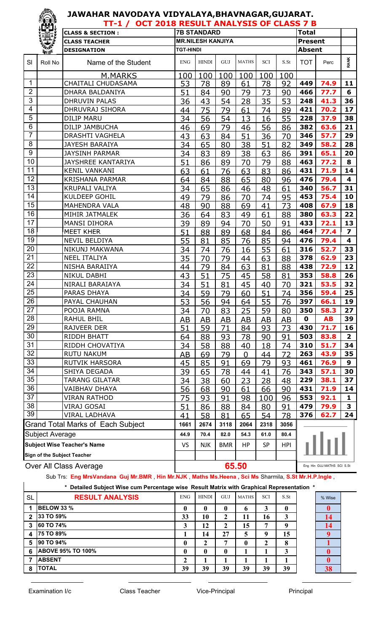|                  | <b>TEU!</b>            | TT-1 / OCT 2018 RESULT ANALYSIS OF CLASS 7 B |                  |                          |              |                |          |            |                |                            |                         |
|------------------|------------------------|----------------------------------------------|------------------|--------------------------|--------------|----------------|----------|------------|----------------|----------------------------|-------------------------|
|                  |                        | <b>CLASS &amp; SECTION:</b>                  |                  | <b>7B STANDARD</b>       | <b>Total</b> |                |          |            |                |                            |                         |
|                  | 覺                      | <b>CLASS TEACHER</b>                         |                  | <b>MR.NILESH KANJIYA</b> |              |                |          |            | <b>Present</b> |                            |                         |
|                  | <b>Replaced</b>        | <b>DESIGNATION</b>                           | <b>TGT-HINDI</b> |                          |              |                |          |            |                | <b>Absent</b>              |                         |
| SI               | Roll No                | Name of the Student                          | <b>ENG</b>       | <b>HINDI</b>             | GUJ          | <b>MATHS</b>   | SCI      | S.St       | <b>TOT</b>     | Perc                       | <b>RANK</b>             |
|                  |                        | <b>M.MARKS</b>                               | 100              | 100                      | 100          | 100            | 100      | 100        |                |                            |                         |
| $\mathbf{1}$     |                        | CHAITALI CHUDASAMA                           | 53               | 78                       | 89           | 61             | 78       | 92         | 449            | 74.9                       | 11                      |
| $\overline{2}$   |                        | DHARA BALDANIYA                              | 51               | 84                       | 90           | 79             | 73       | 90         | 466            | 77.7                       | 6                       |
| $\overline{3}$   |                        | <b>DHRUVIN PALAS</b>                         | 36               | 43                       | 54           | 28             | 35       | 53         | 248            | 41.3                       | 36                      |
| 4                |                        | <b>DHRUVRAJ SIHORA</b>                       | 44               | 75                       | 79           | 61             | 74       | 89         | 421            | 70.2                       | 17                      |
| 5                |                        | <b>DILIP MARU</b>                            | 34               | 56                       | 54           | 13             | 16       | 55         | 228            | 37.9                       | 38                      |
| 6                |                        | DILIP JAMBUCHA                               | 46               | 69                       | 79           | 46             | 56       | 86         | 382            | 63.6                       | 21                      |
| $\overline{7}$   |                        | DRASHTI VAGHELA                              | 43               | 63                       | 84           | 51             | 36       | 70         | 346            | 57.7                       | 29                      |
| 8                |                        | <b>JAYESH BARAIYA</b>                        | 34               | 65                       | 80           | 38             | 51       | 82         | 349            | 58.2                       | 28                      |
| $\boldsymbol{9}$ |                        | <b>JAYSINH PARMAR</b>                        | 34               | 83                       | 89           | 38             | 63       | 86         | 391            | 65.1                       | 20                      |
| 10               |                        | <b>JAYSHREE KANTARIYA</b>                    | 51               | 86                       | 89           | 70             | 79       | 88         | 463            | 77.2                       | 8                       |
| 11               |                        | <b>KENIL VANKANI</b>                         | 63               | 61                       | 76           | 63             | 83       | 86         | 431            | 71.9                       | 14                      |
| 12               |                        | <b>KRISHANA PARMAR</b>                       | 64               | 84                       | 88           | 65             | 80       | 96         | 476            | 79.4                       | 4                       |
| 13               |                        | <b>KRUPALI VALIYA</b>                        | 34               | 65                       | 86           | 46             | 48       | 61         | 340            | 56.7                       | 31                      |
| 14               |                        | KULDEEP GOHIL                                | 49               | 79                       | 86           | 70             | 74       | 95         | 453            | 75.4                       | 10                      |
| 15               |                        | <b>MAHENDRA VALA</b>                         | 48               | 90                       | 88           | 69             | 41       | 73         | 408            | 67.9                       | 18                      |
| 16<br>17         |                        | MIHIR JATMALEK                               | 36               | 64                       | 83           | 49             | 61       | 88         | 380            | 63.3                       | 22                      |
|                  |                        | <b>MANSI DIHORA</b>                          | 39               | 89                       | 94           | 70             | 50       | 91         | 433            | 72.1                       | 13                      |
| 18<br>19         |                        | <b>MEET KHER</b>                             | 51               | 88                       | 89           | 68             | 84       | 86         | 464            | 77.4                       | $\overline{\mathbf{z}}$ |
| 20               |                        | <b>NEVIL BELDIYA</b>                         | 55               | 81                       | 85           | 76             | 85       | 94         | 476            | 79.4                       | 4                       |
| 21               |                        | NIKUNJ MAKWANA                               | 34               | 74                       | 76           | 16             | 55       | 61         | 316            | 52.7                       | 33<br>23                |
| 22               |                        | <b>NEEL ITALIYA</b><br>NISHA BARAIIYA        | 35               | 70                       | 79           | 44             | 63       | 88         | 378<br>438     | 62.9                       | 12                      |
| 23               |                        | <b>NIKUL DABHI</b>                           | 44               | 79                       | 84           | 63             | 81       | 88         | 353            | 72.9<br>58.8               | 26                      |
| 24               |                        | NIRALI BARAIAYA                              | 43<br>34         | 51<br>51                 | 75<br>81     | 45<br>45       | 58       | 81<br>70   | 321            | 53.5                       | 32                      |
| 25               |                        | <b>PARAS DHAYA</b>                           | 34               | <u>59</u>                | 79           | 60             | 40<br>51 | 74         | 356            | 59.4                       | 25                      |
| 26               |                        | PAYAL CHAUHAN                                | 53               | 56                       | 94           | 64             | 55       | 76         | 397            | 66.1                       | 19                      |
| 27               |                        | POOJA RAMNA                                  | 34               | 70                       | 83           | 25             | 59       | 80         | 350            | 58.3                       | 27                      |
| 28               |                        | RAHUL BHIL                                   | AB               | AB                       | AB           | AB             | AB       | AB         | $\mathbf 0$    | <b>AB</b>                  | 39                      |
| 29               |                        | RAJVEER DER                                  | 51               | 59                       | 71           | 84             | 93       | 73         | 430            | 71.7                       | 16                      |
| 30               |                        | RIDDH BHATT                                  | 64               | 88                       | 93           | 78             | 90       | 91         | 503            | 83.8                       | $\overline{2}$          |
| 31               |                        | RIDDH CHOVATIYA                              | 34               | 58                       | 88           | 40             | 18       | 74         | 310            | 51.7                       | 34                      |
| 32               |                        | <b>RUTU NAKUM</b>                            | AB               | 69                       | 79           | $\overline{0}$ | 44       | 72         | 263            | 43.9                       | 35                      |
| 33               |                        | RUTVIK HARSORA                               | 45               | 85                       | 91           | 69             | 79       | 93         | 461            | 76.9                       | 9                       |
| 34               |                        | SHIYA DEGADA                                 | 39               | 65                       | 78           | 44             | 41       | 76         | 343            | 57.1                       | 30                      |
| 35               |                        | TARANG GILATAR                               | 34               | 38                       | 60           | 23             | 28       | 48         | 229            | 38.1                       | 37                      |
| 36               |                        | VAIBHAV DHAYA                                | 56               | 68                       | 90           | 61             | 66       | 90         | 431            | 71.9                       | 14                      |
| 37               |                        | VIRAN RATHOD                                 | 75               | 93                       | 91           | 98             | 100      | 96         | 553            | 92.1                       | 1                       |
| 38               |                        | VIRAJ GOSAI                                  | 51               | 86                       | 88           | 84             | 80       | 91         | 479            | 79.9                       | 3                       |
| 39               |                        | <b>VIRAL LADHAVA</b>                         | 41               | 58                       | 81           | 65             | 54       | 78         | 376            | 62.7                       | 24                      |
|                  |                        | <b>Grand Total Marks of Each Subject</b>     | 1661             | 2674                     | 3118         | 2064           | 2318     | 3056       |                |                            |                         |
|                  | <b>Subject Average</b> |                                              | 44.9             | 70.4                     | 82.0         | 54.3           | 61.0     | 80.4       |                |                            |                         |
|                  |                        | <b>Subject Wise Teacher's Name</b>           |                  |                          |              |                | SP       |            |                |                            |                         |
|                  |                        |                                              | <b>VS</b>        | <b>NJK</b>               | <b>BMR</b>   | HP             |          | <b>HPI</b> |                |                            |                         |
|                  |                        | Sign of the Subject Teacher                  |                  |                          |              |                |          |            |                |                            |                         |
|                  |                        | Over All Class Average                       |                  |                          |              | 65.50          |          |            |                | Eng Hin GUJ MATHS SCI S.St |                         |

#### Sub Trs: **Eng MrsVandana Guj Mr.BMR** , **Hin Mr.NJK** , **Maths Ms.Heena , Sci Ms** Sharmila, **S.St Mr.H.P.Ingle** ,

 $\_$  , and the set of the set of the set of the set of the set of the set of the set of the set of the set of the set of the set of the set of the set of the set of the set of the set of the set of the set of the set of th

#### **\* Detailed Subject Wise cum Percentage wise Result Matrix with Graphical Representation \***

| <b>SL</b>    | <b>RESULT ANALYSIS</b>   | <b>ENG</b>   | <b>HINDI</b> | GUJ         | <b>MATHS</b> | <b>SCI</b> | S.St   | % Wise |
|--------------|--------------------------|--------------|--------------|-------------|--------------|------------|--------|--------|
|              | <b>BELOW 33 %</b>        | $\mathbf{0}$ | 0            | 0           | h            | 3          | 0      |        |
| $\mathbf{2}$ | 33 TO 59%                | 33           | 10           | $\mathbf 2$ | 11           | 16         | 3      | 14     |
| 3            | 60 TO 74%                | 3            | 12           | $\mathbf 2$ | 15           | 7          | q      | 14     |
| 4            | <b>75 TO 89%</b>         |              | 14           | 27          | 5            | 9          | 15     |        |
| 5            | <b>90 TO 94%</b>         | $\bf{0}$     | ∍<br>∠       | −           | $\mathbf{0}$ | ∍<br>∠     | Q<br>ō |        |
| 6            | <b>ABOVE 95% TO 100%</b> | $\mathbf{0}$ | 0            | $\bf{0}$    |              |            | 3      |        |
|              | <b>ABSENT</b>            |              |              |             |              |            |        |        |
| 8            | <b>TOTAL</b>             | 39           | 39           | 39          | 39           | 39         | 39     | 38     |

| % Wise<br>Δ |
|-------------|
|             |
|             |
|             |
|             |
|             |
|             |
|             |
|             |
|             |

 $\mathsf{I}$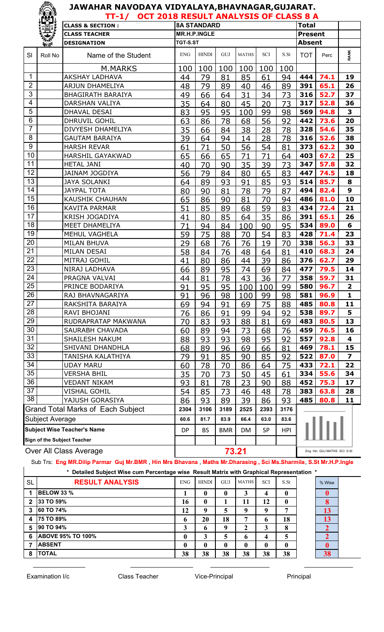#### **JAWAHAR NAVODAYA VIDYALAYA,BHAVNAGAR,GUJARAT. TT-1/ OCT 2018 RESULT ANALYSIS OF CLASS 8 A**

|                                    |                 | <b>CLASS &amp; SECTION:</b>              |            | <b>8A STANDARD</b>  |          |              |            |          | <b>Total</b>   |                            |                         |
|------------------------------------|-----------------|------------------------------------------|------------|---------------------|----------|--------------|------------|----------|----------------|----------------------------|-------------------------|
|                                    | 美美人             | <b>CLASS TEACHER</b>                     |            | <b>MR.H.P.INGLE</b> |          |              |            |          | <b>Present</b> |                            |                         |
|                                    | <b>Replaced</b> | <b>DESIGNATION</b>                       | TGT-S.ST   |                     |          |              |            |          | <b>Absent</b>  |                            |                         |
| SI                                 | Roll No         | Name of the Student                      | <b>ENG</b> | <b>HINDI</b>        | GUJ      | <b>MATHS</b> | <b>SCI</b> | S.St     | <b>TOT</b>     | Perc                       | <b>RANK</b>             |
|                                    |                 | M.MARKS                                  | 100        | 100                 | 100      | 100          | 100        | 100      |                |                            |                         |
| $\mathbf{1}$                       |                 | <b>AKSHAY LADHAVA</b>                    | 44         | 79                  | 81       | 85           | 61         | 94       | 444            | 74.1                       | 19                      |
| $\overline{2}$                     |                 | <b>ARJUN DHAMELIYA</b>                   | 48         | 79                  | 89       | 40           | 46         | 89       | 391            | 65.1                       | 26                      |
| 3                                  |                 | <b>BHAGIRATH BARAIYA</b>                 | 49         | 66                  | 64       | 31           | 34         | 73       | 316            | 52.7                       | 37                      |
| $\overline{\mathbf{4}}$            |                 | <b>DARSHAN VALIYA</b>                    | 35         | 64                  | 80       | 45           | 20         | 73       | 317            | 52.8                       | 36                      |
| $\overline{5}$                     |                 | DHAVAL DESAI                             | 83         | 95                  | 95       | 100          | 99         | 98       | 569            | 94.8                       | 3                       |
| 6                                  |                 | DHRUVIL GOHIL                            | 63         | 86                  | 78       | 68           | 56         | 92       | 442            | 73.6                       | 20                      |
| $\overline{7}$                     |                 | DIVYESH DHAMELIYA                        | 35         | 66                  | 84       | 38           | 28         | 78       | 328            | 54.6                       | 35                      |
| 8                                  |                 | <b>GAUTAM BARAIYA</b>                    | 39         | 64                  | 94       | 14           | 28         | 78       | 316            | 52.6                       | 38                      |
| 9                                  |                 | <b>HARSH REVAR</b>                       | 61         | 71                  | 50       | 56           | 54         | 81       | 373            | 62.2                       | 30                      |
| 10                                 |                 | <b>HARSHIL GAYAKWAD</b>                  | 65         | 66                  | 65       | 71           | 71         | 64       | 403            | 67.2                       | 25                      |
| 11                                 |                 | <b>HETAL JANI</b>                        | 40         | 70                  | 90       | 35           | 39         | 73       | 347            | 57.8                       | 32                      |
| 12                                 |                 | <b>JAINAM JOGDIYA</b>                    | 56         | 79                  | 84       | 80           | 65         | 83       | 447            | 74.5                       | 18                      |
| 13                                 |                 | <b>JAYA SOLANKI</b>                      | 64         | 89                  | 93       | 91           | 85         | 93       | 514            | 85.7                       | 8                       |
| 14                                 |                 | <b>JAYPAL TOTA</b>                       | 80         | 90                  | 81       | 78           | 79         | 87       | 494            | 82.4                       | 9                       |
| 15                                 |                 | <b>KAUSHIK CHAUHAN</b>                   | 65         | 86                  | 90       | 81           | 70         | 94       | 486            | 81.0                       | 10                      |
| 16<br>17                           |                 | <b>KAVITA PARMAR</b>                     | 51         | 85                  | 89       | 68           | 59         | 83       | 434            | 72.4                       | 21                      |
| 18                                 |                 | <b>KRISH JOGADIYA</b>                    | 41         | 80                  | 85       | 64           | 35         | 86       | 391            | 65.1                       | 26                      |
| 19                                 |                 | MEET DHAMELIYA                           | 71         | 94                  | 84       | 100          | 90         | 95       | 534            | 89.0                       | 6                       |
| 20                                 |                 | MEHUL VAGHELA                            | 59         | 75                  | 88       | 70           | 54         | 83       | 428            | 71.4                       | 23<br>33                |
| 21                                 |                 | <b>MILAN BHUVA</b><br>MILAN DESAI        | 29         | 68                  | 76       | 76           | 19         | 70       | 338<br>410     | 56.3<br>68.3               | 24                      |
| $\overline{22}$                    |                 | MITRAJ GOHIL                             | 58         | 84                  | 76       | 48           | 64         | 81       | 376            | 62.7                       | 29                      |
| 23                                 |                 | NIRAJ LADHAVA                            | 41         | 80                  | 86       | 44<br>74     | 39<br>69   | 86       | 477            | 79.5                       | 14                      |
| 24                                 |                 | PRAGNA VALVAI                            | 66<br>44   | 89<br>81            | 95<br>78 | 43           | 36         | 84<br>77 | 358            | 59.7                       | 31                      |
| 25                                 |                 | PRINCE BODARIYA                          | 91         | 95                  | 95       | 100          | 100        | 99       | 580            | 96.7                       | 2                       |
| $\overline{26}$                    |                 | RAJ BHAVNAGARIYA                         | 91         | 96                  | 98       | 100          | 99         | 98       | 581            | 96.9                       | $\mathbf{1}$            |
| 27                                 |                 | RAKSHITA BARAIYA                         | 69         | 94                  | 91       | 69           | 75         | 88       | 485            | 80.8                       | 11                      |
| 28                                 |                 | RAVI BHOJANI                             | 76         | 86                  | 91       | 99           | 94         | 92       | 538            | 89.7                       | 5                       |
| 29                                 |                 | RUDRAPRATAP MAKWANA                      | 70         | 83                  | 93       | 88           | 81         | 69       | 483            | 80.5                       | 13                      |
| 30                                 |                 | SAURABH CHAVADA                          | 60         | 89                  | 94       | 73           | 68         | 76       | 459            | 76.5                       | 16                      |
| 31                                 |                 | <b>SHAILESH NAKUM</b>                    | 88         | 93                  | 93       | 98           | 95         | 92       | 557            | 92.8                       | 4                       |
| 32                                 |                 | SHIVANI DHANDHLA                         | 68         | 89                  | 96       | 69           | 66         | 81       | 469            | 78.1                       | 15                      |
| 33                                 |                 | TANISHA KALATHIYA                        | 79         | 91                  | 85       | 90           | 85         | 92       | 522            | 87.0                       | $\overline{\mathbf{z}}$ |
| 34                                 |                 | <b>UDAY MARU</b>                         | 60         | 78                  | 70       | 86           | 64         | 75       | 433            | 72.1                       | 22                      |
| 35                                 |                 | <b>VERSHA BHIL</b>                       | 35         | 70                  | 73       | 50           | 45         | 61       | 334            | 55.6                       | 34                      |
| 36                                 |                 | <b>VEDANT NIKAM</b>                      | 93         | 81                  | 78       | 23           | 90         | 88       | 452            | 75.3                       | 17                      |
| 37                                 |                 | <b>VISHAL GOHIL</b>                      | 54         | 85                  | 73       | 46           | 48         | 78       | 383            | 63.8                       | 28                      |
| 38                                 |                 | YAJUSH GORASIYA                          | 86         | 93                  | 89       | 39           | 86         | 93       | 485            | 80.8                       | 11                      |
|                                    |                 | <b>Grand Total Marks of Each Subject</b> | 2304       | 3106                | 3189     | 2525         | 2393       | 3176     |                |                            |                         |
| Subject Average                    |                 |                                          | 60.6       | 81.7                | 83.9     | 66.4         | 63.0       | 83.6     |                |                            |                         |
| <b>Subject Wise Teacher's Name</b> |                 | DP                                       | <b>BS</b>  | <b>BMR</b>          | DM       | <b>SP</b>    | <b>HPI</b> |          |                |                            |                         |
| <b>Sign of the Subject Teacher</b> |                 |                                          |            |                     |          |              |            |          |                |                            |                         |
| Over All Class Average             |                 |                                          |            |                     |          | 73.21        |            |          |                | Eng Hin GUJ MATHS SCI S.St |                         |

Sub Trs: **Eng MR.Dilip Parmar Guj Mr.BMR** , **Hin Mrs Bhavana** , **Maths Mr.Dharasing , Sci Ms.Sharmila**, **S.St Mr.H.P.Ingle**

 $\_$  , and the set of the set of the set of the set of the set of the set of the set of the set of the set of the set of the set of the set of the set of the set of the set of the set of the set of the set of the set of th

**\* Detailed Subject Wise cum Percentage wise Result Matrix with Graphical Representation \***

| * Detailed Subject Wise cum Percentage wise Result Matrix with Graphical Representation * |                          |              |              |              |              |            |      |  |        |  |  |
|-------------------------------------------------------------------------------------------|--------------------------|--------------|--------------|--------------|--------------|------------|------|--|--------|--|--|
| SL                                                                                        | <b>RESULT ANALYSIS</b>   | <b>ENG</b>   | <b>HINDI</b> | <b>GUJ</b>   | <b>MATHS</b> | <b>SCI</b> | S.St |  | % Wise |  |  |
|                                                                                           | <b>BELOW 33 %</b>        |              |              | 0            | 3            | 4          | 0    |  |        |  |  |
| $\overline{2}$                                                                            | 33 TO 59%                | 16           | $\mathbf{0}$ |              | 11           | 12         | 0    |  |        |  |  |
| 3                                                                                         | 60 TO 74%                | 12           | -9           | 5            | 9            | 9          | ៗ    |  | 13     |  |  |
| $\overline{\mathbf{4}}$                                                                   | 75 TO 89%                | $\mathbf b$  | 20           | 18           | 7            | 6          | 18   |  | 13     |  |  |
| 5                                                                                         | 90 TO 94%                | 3            | 6            | 9            | 2            | 3          | 8    |  |        |  |  |
| 6                                                                                         | <b>ABOVE 95% TO 100%</b> | 0            | 3            | 5            | 6            | 4          | 5    |  |        |  |  |
|                                                                                           | <b>ABSENT</b>            | $\mathbf{0}$ | $\mathbf{0}$ | $\mathbf{0}$ | $\mathbf{0}$ | 0          | 0    |  |        |  |  |
| 8                                                                                         | <b>TOTAL</b>             | 38           | 38           | 38           | 38           | 38         | 38   |  | 38     |  |  |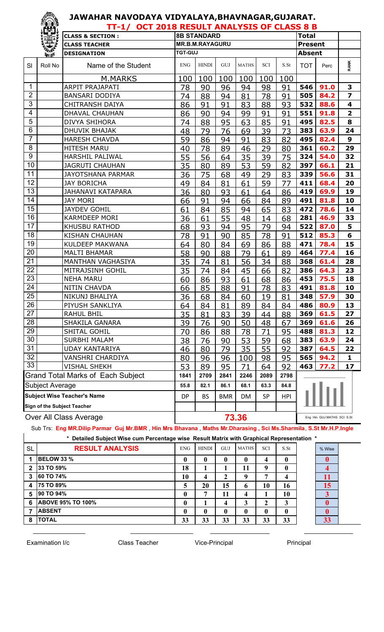|                 | ïËj,                               | TT-1/ OCT 2018 RESULT ANALYSIS OF CLASS 8 B |                                                                       |                        |      |              |      |      |                            |      |                         |
|-----------------|------------------------------------|---------------------------------------------|-----------------------------------------------------------------------|------------------------|------|--------------|------|------|----------------------------|------|-------------------------|
|                 |                                    | <b>CLASS &amp; SECTION:</b>                 |                                                                       | <b>8B STANDARD</b>     |      |              |      |      | <b>Total</b>               |      |                         |
|                 | 製                                  | <b>CLASS TEACHER</b>                        |                                                                       | <b>MR.B.M.RAYAGURU</b> |      |              |      |      | <b>Present</b>             |      |                         |
|                 | 美好                                 | <b>DESIGNATION</b>                          | <b>TGT-GUJ</b>                                                        |                        |      |              |      |      | <b>Absent</b>              |      |                         |
| SI              | Roll No                            | Name of the Student                         | <b>ENG</b>                                                            | <b>HINDI</b>           | GUJ  | <b>MATHS</b> | SCI  | S.St | <b>TOT</b>                 | Perc | <b>RANK</b>             |
|                 |                                    | M.MARKS                                     | 100                                                                   | 100                    | 100  | 100          | 100  | 100  |                            |      |                         |
| 1               |                                    | <b>ARPIT PRAJAPATI</b>                      | 78                                                                    | 90                     | 96   | 94           | 98   | 91   | 546                        | 91.0 | 3                       |
| $\overline{2}$  |                                    | <b>BANSARI DODIYA</b>                       | 74                                                                    | 88                     | 94   | 81           | 78   | 91   | 505                        | 84.2 | $\overline{\mathbf{z}}$ |
| $\mathfrak{S}$  |                                    | <b>CHITRANSH DAIYA</b>                      | 86                                                                    | 91                     | 91   | 83           | 88   | 93   | 532                        | 88.6 | 4                       |
| 4               |                                    | <b>DHAVAL CHAUHAN</b>                       | 86                                                                    | 90                     | 94   | 99           | 91   | 91   | 551                        | 91.8 | $\overline{\mathbf{2}}$ |
| 5               |                                    | DIVYA SHIHORA                               | 74                                                                    | 88                     | 95   | 63           | 85   | 91   | 495                        | 82.5 | 8                       |
| 6               |                                    | DHUVIK BHAJAK                               | 48                                                                    | 79                     | 76   | 69           | 39   | 73   | 383                        | 63.9 | 24                      |
| $\overline{7}$  |                                    | <b>HARESH CHAVDA</b>                        | 59                                                                    | 86                     | 94   | 91           | 83   | 82   | 495                        | 82.4 | $\mathbf{9}$            |
| 8               |                                    | <b>HITESH MARU</b>                          | 40                                                                    | 78                     | 89   | 46           | 29   | 80   | 361                        | 60.2 | 29                      |
| 9               |                                    | <b>HARSHIL PALIWAL</b>                      | 55                                                                    | 56                     | 64   | 35           | 39   | 75   | 324                        | 54.0 | 32                      |
| 10              |                                    | <b>JAGRUTI CHAUHAN</b>                      | 35                                                                    | 80                     | 89   | 53           | 59   | 82   | 397                        | 66.1 | 21                      |
| 11              |                                    | <b>JAYOTSHANA PARMAR</b>                    | 36                                                                    | 75                     | 68   | 49           | 29   | 83   | 339                        | 56.6 | 31                      |
| 12              |                                    | <b>JAY BORICHA</b>                          | 49                                                                    | 84                     | 81   | 61           | 59   | 77   | 411                        | 68.4 | 20                      |
| 13              |                                    | <b>JAHANAVI KATAPARA</b>                    | 36                                                                    | 80                     | 93   | 61           | 64   | 86   | 419                        | 69.9 | 19                      |
| 14              |                                    | <b>JAY MORI</b>                             | 66                                                                    | 91                     | 94   | 66           | 84   | 89   | 491                        | 81.8 | 10                      |
| 15              |                                    | <b>JAYDEV GOHIL</b>                         | 61                                                                    | 84                     | 85   | 94           | 65   | 83   | 472                        | 78.6 | 14                      |
| 16              |                                    | <b>KARMDEEP MORI</b>                        | 36                                                                    | 61                     | 55   | 48           | 14   | 68   | 281                        | 46.9 | 33                      |
| 17              |                                    | <b>KHUSBU RATHOD</b>                        | 68                                                                    | 93                     | 94   | 95           | 79   | 94   | 522                        | 87.0 | 5                       |
| 18              |                                    | <b>KISHAN CHAUHAN</b>                       | 78                                                                    | 91                     | 90   | 85           | 78   | 91   | 512                        | 85.3 | 6                       |
| 19              |                                    | KULDEEP MAKWANA                             | 64                                                                    | 80                     | 84   | 69           | 86   | 88   | 471                        | 78.4 | 15                      |
| 20              |                                    | <b>MALTI BHAMAR</b>                         | 58                                                                    | 90                     | 88   | 79           | 61   | 89   | 464                        | 77.4 | 16                      |
| 21              |                                    | MANTHAN VAGHASIYA                           | 35                                                                    | 74                     | 81   | 56           | 34   | 88   | 368                        | 61.4 | 28                      |
| 22              |                                    | MITRAJSINH GOHIL                            | 35                                                                    | 74                     | 84   | 45           | 66   | 82   | 386                        | 64.3 | 23                      |
| 23              |                                    | <b>NEHA MARU</b>                            | 60                                                                    | 86                     | 93   | 61           | 68   | 86   | 453                        | 75.5 | 18                      |
| 24              |                                    | <b>NITIN CHAVDA</b>                         | 66                                                                    | 85                     | 88   | 91           | 78   | 83   | 491                        | 81.8 | 10                      |
| $\overline{25}$ |                                    | NIKUNJ BHALIYA                              | 36                                                                    | 68                     | 84   | 60           | 19   | 81   | 348                        | 57.9 | 30                      |
| 26              |                                    | PIYUSH SANKLIYA                             | 64                                                                    | 84                     | 81   | 89           | 84   | 84   | 486                        | 80.9 | 13                      |
| 27              |                                    | RAHUL BHIL                                  | 35                                                                    | 81                     | 83   | 39           | 44   | 88   | 369                        | 61.5 | 27                      |
| 28              |                                    | SHAKILA GANARA                              | 39                                                                    | 76                     | 90   | 50           | 48   | 67   | 369                        | 61.6 | 26                      |
| 29              |                                    | SHITAL GOHIL                                | 70                                                                    | 86                     | 88   | 78           | 71   | 95   | 488                        | 81.3 | 12                      |
| 30              |                                    | <b>SURBHI MALAM</b>                         | 38                                                                    | 76                     | 90   | 53           | 59   | 68   | 383                        | 63.9 | 24                      |
| 31              |                                    | <b>UDAY KANTARIYA</b>                       | 46                                                                    | 80                     | 79   | 35           | 55   | 92   | 387                        | 64.5 | 22                      |
| 32              |                                    | <b>VANSHRI CHARDIYA</b>                     | 80                                                                    | 96                     | 96   | 100          | 98   | 95   | 565                        | 94.2 | 1                       |
| 33              |                                    | <b>VISHAL SHEKH</b>                         | 53                                                                    | 89                     | 95   | 71           | 64   | 92   | 463                        | 77.2 | 17                      |
|                 |                                    | <b>Grand Total Marks of Each Subject</b>    | 1841                                                                  | 2709                   | 2841 | 2246         | 2089 | 2798 |                            |      |                         |
|                 | Subject Average                    |                                             | 55.8                                                                  | 82.1                   | 86.1 | 68.1         | 63.3 | 84.8 |                            |      |                         |
|                 | <b>Subject Wise Teacher's Name</b> |                                             | <b>DP</b><br><b>SP</b><br><b>BS</b><br><b>BMR</b><br><b>HPI</b><br>DM |                        |      |              |      |      |                            |      |                         |
|                 |                                    | Sign of the Subject Teacher                 |                                                                       |                        |      |              |      |      |                            |      |                         |
|                 | Over All Class Average             |                                             | 73.36                                                                 |                        |      |              |      |      | Eng Hin GUJ MATHS SCI S.St |      |                         |

Sub Trs: **Eng MR.Dilip Parmar Guj Mr.BMR** , **Hin Mrs Bhavana** , **Maths Mr.Dharasing , Sci Ms.Sharmila**, **S.St Mr.H.P.Ingle**

\_\_\_\_\_\_\_\_\_\_\_\_\_\_\_ \_\_\_\_\_\_\_\_\_\_\_\_\_\_\_\_\_\_ \_\_\_\_\_\_\_\_\_\_\_\_\_\_\_\_\_ \_\_\_\_\_\_\_\_\_\_\_\_\_\_

|  | * Detailed Subject Wise cum Percentage wise Result Matrix with Graphical Representation * |
|--|-------------------------------------------------------------------------------------------|

| <b>SL</b>      | <b>RESULT ANALYSIS</b>   | <b>ENG</b>   | <b>HINDI</b> | GUJ          | <b>MATHS</b> | <b>SCI</b>       | S.S <sub>t</sub> | % Wise |
|----------------|--------------------------|--------------|--------------|--------------|--------------|------------------|------------------|--------|
|                | <b>BELOW 33 %</b>        | $\mathbf{0}$ | $\mathbf{0}$ | $\mathbf{0}$ | 0            | $\boldsymbol{4}$ | $\mathbf{0}$     |        |
| $\overline{2}$ | 33 TO 59%                | 18           |              |              | 11           | $\mathbf 0$      | $\mathbf{0}$     |        |
| 3              | 60 TO 74%                | 10           | 4            | ∍            | 9            | ៗ                |                  | 11     |
| A              | 75 TO 89%                |              | 20           | 15           | 6            | 10               | 16               | 15     |
| 5              | 90 TO 94%                | 0            | ៗ            | 11           | 4            |                  | 10               | ◠      |
| 6              | <b>ABOVE 95% TO 100%</b> | $\mathbf{0}$ |              | -4           | 3            | 2                | 3                |        |
|                | <b>ABSENT</b>            | 0            | $\mathbf{0}$ | $\mathbf{0}$ | 0            | $\mathbf{0}$     | $\boldsymbol{0}$ |        |
| 8              | <b>TOTAL</b>             | 33           | 33           | 33           | 33           | 33               | 33               | 33     |



 $\overline{\phantom{a}}$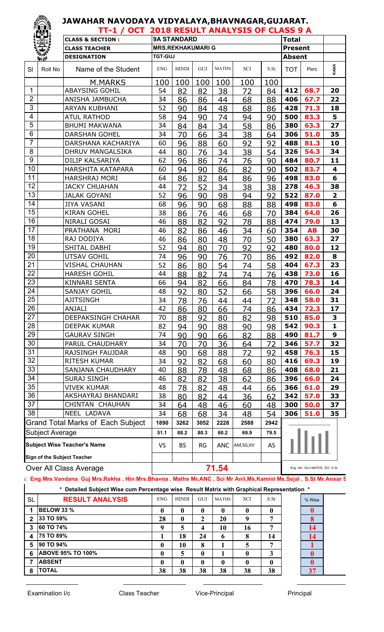|                | 1 <sup>111</sup> 2                       | JAWAHAR NAVODAYA VIDYALAYA,BHAVNAGAR,GUJARAT. |                |                          |      |              |            |                  |                |                            |                         |
|----------------|------------------------------------------|-----------------------------------------------|----------------|--------------------------|------|--------------|------------|------------------|----------------|----------------------------|-------------------------|
|                |                                          | TT-1 / OCT 2018 RESULT ANALYSIS OF CLASS 9 A  |                |                          |      |              |            |                  |                |                            |                         |
|                |                                          | <b>CLASS &amp; SECTION:</b>                   |                | <b>9A STANDARD</b>       |      |              |            |                  | <b>Total</b>   |                            |                         |
|                |                                          | <b>CLASS TEACHER</b>                          |                | <b>MRS.REKHAKUMARI G</b> |      |              |            |                  | <b>Present</b> |                            |                         |
|                | $m$ at                                   | <b>DESIGNATION</b>                            | <b>TGT-GUJ</b> |                          |      |              |            |                  | <b>Absent</b>  |                            |                         |
| <b>SI</b>      | Roll No                                  | Name of the Student                           | <b>ENG</b>     | <b>HINDI</b>             | GUJ  | <b>MATHS</b> | <b>SCI</b> | S.S <sub>t</sub> | <b>TOT</b>     | Perc                       | <b>RANK</b>             |
|                |                                          | M.MARKS                                       | 100            | 100                      | 100  | 100          | 100        | 100              |                |                            |                         |
| 1              |                                          | <b>ABAYSING GOHIL</b>                         | 54             | 82                       | 82   | 38           | 72         | 84               | 412            | 68.7                       | 20                      |
| $\overline{2}$ |                                          | ANISHA JAMBUCHA                               | 34             | 86                       | 86   | 44           | 68         | 88               | 406            | 67.7                       | 22                      |
| 3              |                                          | <b>ARYAN KUBHANI</b>                          | 52             | 90                       | 84   | 48           | 68         | 86               | 428            | 71.3                       | 18                      |
| 4              |                                          | <b>ATUL RATHOD</b>                            | 58             | 94                       | 90   | 74           | 94         | 90               | 500            | 83.3                       | 5                       |
| 5              |                                          | <b>BHUMI MAKWANA</b>                          | 34             | 84                       | 84   | 34           | 58         | 86               | 380            | 63.3                       | 27                      |
| 6              |                                          | <b>DARSHAN GOHEL</b>                          | 34             | 70                       | 66   | 34           | 38         | 64               | 306            | 51.0                       | 35                      |
| $\overline{7}$ |                                          | DARSHANA KACHARIYA                            | 60             | 96                       | 88   | 60           | 92         | 92               | 488            | 81.3                       | 10                      |
| 8              |                                          | <b>DHRUV MANGALSIKA</b>                       | 44             | 80                       | 76   | 34           | 38         | 54               | 326            | 54.3                       | 34                      |
| 9              |                                          | DILIP KALSARIYA                               | 62             | 96                       | 86   | 74           | 76         | 90               | 484            | 80.7                       | 11                      |
| 10             |                                          | HARSHITA KATAPARA                             | 60             | 94                       | 90   | 86           | 82         | 90               | 502            | 83.7                       | 4                       |
| 11             |                                          | <b>HARSHRAJ MORI</b>                          | 64             | 86                       | 82   | 84           | 86         | 96               | 498            | 83.0                       | 6                       |
| 12             |                                          | <b>JACKY CHUAHAN</b>                          | 44             | 72                       | 52   | 34           | 38         | 38               | 278            | 46.3                       | 38                      |
| 13             |                                          | <b>JALAK GOYANI</b>                           | 52             | 96                       | 90   | 98           | 94         | 92               | 522            | 87.0                       | $\overline{\mathbf{2}}$ |
| 14             |                                          | <b>JIYA VASANI</b>                            | 68             | 96                       | 90   | 68           | 88         | 88               | 498            | 83.0                       | 6                       |
| 15             |                                          | <b>KIRAN GOHEL</b>                            | 38             | 86                       | 76   | 46           | 68         | 70               | 384            | 64.0                       | 26                      |
| 16             |                                          | NIRALI GOSAI                                  | 46             | 88                       | 82   | 92           | 78         | 88               | 474            | 79.0                       | 13                      |
| 17             |                                          | PRATHANA MORI                                 | 46             | 82                       | 86   | 46           | 34         | 60               | 354            | <b>AB</b>                  | 30                      |
| 18             |                                          | RAJ DODIYA                                    | 46             | 86                       | 80   | 48           | 70         | 50               | 380            | 63.3                       | 27                      |
| 19             |                                          | SHITAL DABHI                                  | 52             | 94                       | 80   | 70           | 92         | 92               | 480            | 80.0                       | 12                      |
| 20             |                                          | <b>UTSAV GOHIL</b>                            | 74             | 96                       | 90   | 76           | 70         | 86               | 492            | 82.0                       | 8                       |
| 21             |                                          | <b>VISHAL CHAUHAN</b>                         | 52             | 86                       | 80   | 54           | 74         | 58               | 404            | 67.3                       | 23                      |
| 22             |                                          | <b>HARESH GOHIL</b>                           | 44             | 88                       | 82   | 74           | 74         | 76               | 438            | 73.0                       | 16                      |
| 23             |                                          | <b>KINNARI SENTA</b>                          | 66             | 94                       | 82   | 66           | 84         | 78               | 470            | 78.3                       | 14                      |
| 24             |                                          | <b>SANJAY GOHIL</b>                           | 48             | 92                       | 80   | 52           | 66         | 58               | 396            | 66.0                       | 24                      |
| 25             |                                          | <b>AJITSINGH</b>                              | 34             | 78                       | 76   | 44           | 44         | 72               | 348            | 58.0                       | 31                      |
| 26             |                                          | <b>ANJALI</b>                                 | 42             | 86                       | 80   | 66           | 74         | 86               | 434            | 72.3                       | 17                      |
| 27             |                                          | <b>DEEPAKSINGH CHAHAR</b>                     | 70             | 88                       | 92   | 80           | 82         | 98               | 510            | 85.0                       | 3                       |
| 28             |                                          | <b>DEEPAK KUMAR</b>                           | 82             | 94                       | 90   | 88           | 90         | 98               | 542            | 90.3                       | 1                       |
| 29             |                                          | <b>GAURAV SINGH</b>                           | 74             | 90                       | 90   | 66           | 82         | 88               | 490            | 81.7                       | 9                       |
| 30             |                                          | PARUL CHAUDHARY                               | 34             | 70                       | 70   | 36           | 64         | 72               | 346            | 57.7                       | 32                      |
| 31             |                                          | RAJSINGH FAUJDAR                              | 48             | 90                       | 68   | 88           | 72         | 92               | 458            | 76.3                       | 15                      |
| 32             |                                          | <b>RITESH KUMAR</b>                           | 34             | 92                       | 82   | 68           | 60         | 80               | 416            | 69.3                       | 19                      |
| 33             |                                          | SANJANA CHAUDHARY                             | 40             | 88                       | 78   | 48           | 68         | 86               | 408            | 68.0                       | 21                      |
| 34             |                                          | <b>SURAJ SINGH</b>                            | 46             | 82                       | 82   | 38           | 62         | 86               | 396            | 66.0                       | 24                      |
| 35             |                                          | <b>VIVEK KUMAR</b>                            | 48             | 78                       | 82   | 48           | 44         | 66               | 366            | 61.0                       | 29                      |
| 36             |                                          | AKSHAYRAJ BHANDARI                            | 38             | 80                       | 82   | 44           | 36         | 62               | 342            | 57.0                       | 33                      |
| 37             |                                          | CHINTAN CHAUHAN                               | 34             | 64                       | 48   | 46           | 60         | 48               | 300            | 50.0                       | 37                      |
| 38             |                                          | NEEL LADAVA                                   | 34             | 68                       | 68   | 34           | 48         | 54               | 306            | 51.0                       | 35                      |
|                | <b>Grand Total Marks of Each Subject</b> |                                               | 1890           | 3262                     | 3052 | 2228         | 2588       | 2942             |                |                            |                         |
|                | <b>Subject Average</b>                   |                                               | 51.1           | 88.2                     | 80.3 | 60.2         | 69.9       | 79.5             |                |                            |                         |
|                | <b>Subject Wise Teacher's Name</b>       |                                               | VS             | <b>BS</b>                | RG   | <b>ANC</b>   | AM,SG,KV   | AS               |                |                            |                         |
|                | Sign of the Subject Teacher              |                                               |                |                          |      |              |            |                  |                |                            |                         |
|                | Over All Class Average                   |                                               |                |                          |      | 71.54        |            |                  |                | Eng Hin GUJ MATHS SCI S.St |                         |

### ${\bf s}$ : Eng Mrs.Vandana Guj Mrs.Rekha , Hin Mrs.Bhavna , Maths Mr.ANC , Sci Mr Anil,Ms,Kamini Ms.Sejal , S.St Mr.Ansar S

 $\_$  , and the set of the set of the set of the set of the set of the set of the set of the set of the set of the set of the set of the set of the set of the set of the set of the set of the set of the set of the set of th

| * Detailed Subject Wise cum Percentage wise Result Matrix with Graphical Representation * |                          |            |              |     |              |            |                  |  |        |  |  |  |
|-------------------------------------------------------------------------------------------|--------------------------|------------|--------------|-----|--------------|------------|------------------|--|--------|--|--|--|
| <b>SL</b>                                                                                 | <b>RESULT ANALYSIS</b>   | <b>ENG</b> | <b>HINDI</b> | GUJ | <b>MATHS</b> | <b>SCI</b> | S.S <sub>t</sub> |  | % Wise |  |  |  |
|                                                                                           | <b>BELOW 33 %</b>        |            | 0            | 0   | 0            |            | 0                |  |        |  |  |  |
| $\overline{2}$                                                                            | 33 TO 59%                | 28         | 0            | 2   | 20           |            | 7                |  |        |  |  |  |
| 3                                                                                         | 60 TO 74%                | Q          | 5            | 4   | 10           | 16         | 7                |  |        |  |  |  |
| 4                                                                                         | 75 TO 89%                |            | 18           | 24  | 6            |            | 14               |  |        |  |  |  |
| 5                                                                                         | 90 TO 94%                |            | 10           | 8   |              |            | 7                |  |        |  |  |  |
| 6                                                                                         | <b>ABOVE 95% TO 100%</b> | 0          | 5            | 0   |              |            | 3                |  |        |  |  |  |
|                                                                                           | <b>ABSENT</b>            | 0          | 0            | 0   | 0            |            | 0                |  |        |  |  |  |
| 8                                                                                         | <b>TOTAL</b>             | 38         | 38           | 38  | 38           | 38         | 38               |  | 37     |  |  |  |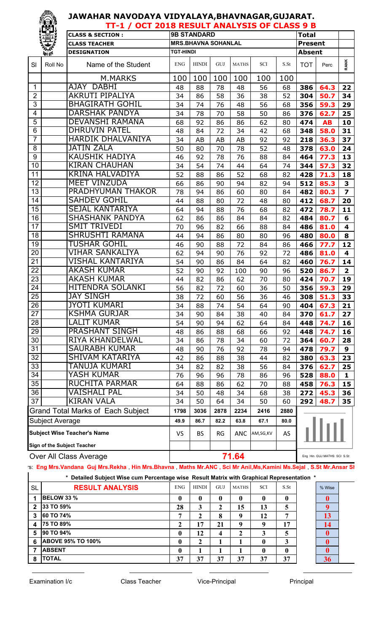|                  | IL 21                              | TT-1 / OCT 2018 RESULT ANALYSIS OF CLASS 9 B |                  |                                     |                 |                 |            |      |                |           |                         |
|------------------|------------------------------------|----------------------------------------------|------------------|-------------------------------------|-----------------|-----------------|------------|------|----------------|-----------|-------------------------|
|                  |                                    | <b>CLASS &amp; SECTION:</b>                  |                  | <b>9B STANDARD</b>                  |                 |                 |            |      | <b>Total</b>   |           |                         |
|                  | 是                                  | <b>CLASS TEACHER</b>                         |                  | <b>MRS.BHAVNA SOHANLAL</b>          |                 |                 |            |      | <b>Present</b> |           |                         |
|                  | Volte                              | <b>DESIGNATION</b>                           | <b>TGT-HINDI</b> |                                     |                 |                 |            |      | <b>Absent</b>  |           |                         |
| SI               | Roll No                            | Name of the Student                          | <b>ENG</b>       | <b>HINDI</b>                        | GUJ             | <b>MATHS</b>    | <b>SCI</b> | S.St | <b>TOT</b>     | Perc      | <b>RANK</b>             |
|                  |                                    | M.MARKS                                      | 100              | 100                                 | 100             | 100             | 100        | 100  |                |           |                         |
| 1                |                                    | AJAY DABHI                                   | 48               | 88                                  | 78              | 48              | 56         | 68   | 386            | 64.3      | 22                      |
| $\overline{2}$   |                                    | <b>AKRUTI PIPALIYA</b>                       | 34               | 86                                  | 58              | 36              | 38         | 52   | 304            | 50.7      | 34                      |
| 3                |                                    | <b>BHAGIRATH GOHIL</b>                       | 34               | 74                                  | 76              | 48              | 56         | 68   | 356            | 59.3      | 29                      |
| 4                |                                    | <b>DARSHAK PANDYA</b>                        | 34               | 78                                  | 70              | 58              | 50         | 86   | 376            | 62.7      | 25                      |
| 5                |                                    | <b>DEVANSHI RAMANA</b>                       | 68               | 92                                  | 86              | 86              | 62         | 80   | 474            | <b>AB</b> | 10                      |
| 6                |                                    | <b>DHRUVIN PATEL</b>                         | 48               | 84                                  | 72              | 34              | 42         | 68   | 348            | 58.0      | 31                      |
| $\overline{7}$   |                                    | <b>HARDIK DHALVANIYA</b>                     | 34               | AB                                  | AB              | AB              | 92         | 92   | 218            | 36.3      | 37                      |
| 8                |                                    | <b>JATIN ZALA</b>                            | 50               | 80                                  | 70              | 78              | 52         | 48   | 378            | 63.0      | 24                      |
| $\boldsymbol{9}$ |                                    | <b>KAUSHIK HADIYA</b>                        | 46               | 92                                  | 78              | 76              | 88         | 84   | 464            | 77.3      | 13                      |
| 10               |                                    | <b>KIRAN CHAUHAN</b>                         | 34               | 54                                  | 74              | 44              | 64         | 74   | 344            | 57.3      | 32                      |
| 11               |                                    | <b>KRINA HALVADIYA</b>                       | 52               | 88                                  | 86              | 52              | 68         | 82   | 428            | 71.3      | 18                      |
| 12               |                                    | <b>MEET VINZUDA</b>                          | 66               | 86                                  | 90              | 94              | 82         | 94   | 512            | 85.3      | $\overline{\mathbf{3}}$ |
| 13               |                                    | PRADHYUMAN THAKOR                            | 78               | 94                                  | 86              | 60              | 80         | 84   | 482            | 80.3      | $\overline{\mathbf{z}}$ |
| 14               |                                    | <b>SAHDEV GOHIL</b>                          | 44               | 88                                  | 80              | 72              | 48         | 80   | 412            | 68.7      | 20                      |
| 15               |                                    | <b>SEJAL KANTARIYA</b>                       | 64               | 94                                  | 88              | 76              | 68         | 82   | 472            | 78.7      | 11                      |
| 16               |                                    | <b>SHASHANK PANDYA</b>                       | 62               | 86                                  | 86              | 84              | 84         | 82   | 484            | 80.7      | 6                       |
| 17               |                                    | <b>SMIT TRIVEDI</b>                          | 70               | 96                                  | 82              | 66              | 88         | 84   | 486            | 81.0      | 4                       |
| 18               |                                    | <b>SHRUSHTI RAMANA</b>                       | 44               | 94                                  | 86              | 80              | 80         | 96   | 480            | 80.0      | 8                       |
| 19               |                                    | <b>TUSHAR GOHIL</b>                          | 46               | 90                                  | 88              | 72              | 84         | 86   | 466            | 77.7      | 12                      |
| 20               |                                    | VIHAR SANKALIYA                              | 62               | 94                                  | 90              | 76              | 92         | 72   | 486            | 81.0      | 4                       |
| 21               |                                    | VISHAL KANTARIYA                             | 54               | 90                                  | 86              | 84              | 64         | 82   | 460            | 76.7      | 14                      |
| $\overline{22}$  |                                    | <b>AKASH KUMAR</b>                           | 52               | 90                                  | 92              | 100             | 90         | 96   | 520            | 86.7      | $\overline{\mathbf{2}}$ |
| 23               |                                    | <b>AKASH KUMAR</b>                           | 44               | 82                                  | 86              | 62              | 70         | 80   | 424            | 70.7      | 19                      |
| 24               |                                    | HITENDRA SOLANKI                             | 56               | 82                                  | 72              | 60              | 36         | 50   | 356            | 59.3      | 29                      |
| 25               |                                    | <b>JAY SINGH</b>                             | 38               | 72                                  | 60              | 56              | 36         | 46   | 308            | 51.3      | 33                      |
| 26               |                                    | <b>JYOTI KUMARI</b>                          | 34               | 88                                  | $\overline{74}$ | $\overline{54}$ | 64         | 90   | 404            | 67.3      | 21                      |
| 27               |                                    | <b>KSHMA GURJAR</b>                          | 34               | 90                                  | 84              | 38              | 40         | 84   | 370            | 61.7      | 27                      |
| 28               |                                    | <b>LALIT KUMAR</b>                           | 54               | 90                                  | 94              | 62              | 64         | 84   | 448            | 74.7      | 16                      |
| 29               |                                    | <b>PRASHANT SINGH</b>                        | 48               | 86                                  | 88              | 68              | 66         | 92   | 448            | 74.7      | 16                      |
| 30               |                                    | <b>RIYA KHANDELWAL</b>                       | 34               | 86                                  | 78              | 34              | 60         | 72   | 364            | 60.7      | 28                      |
| 31               |                                    | SAURABH KUMAR                                | 48               | 90                                  | 76              | 92              | 78         | 94   | 478            | 79.7      | 9                       |
| 32               |                                    | SHIVAM KATARIYA                              | 42               | 86                                  | 88              | 38              | 44         | 82   | 380            | 63.3      | 23                      |
| 33               |                                    | TANUJA KUMARI<br><b>YASH KUMAR</b>           | 34               | 82                                  | 82              | 38              | 56         | 84   | 376            | 62.7      | 25                      |
| 34               |                                    |                                              | 76               | 96                                  | 96              | 78              | 86         | 96   | 528            | 88.0      | $\mathbf{1}$            |
| 35               |                                    | <b>RUCHITA PARMAR</b>                        | 64               | 88                                  | 86              | 62              | 70         | 88   | 458            | 76.3      | 15                      |
| 36               |                                    | VAISHALI PAL                                 | 34               | 50                                  | 48              | 34              | 68         | 38   | 272            | 45.3      | 36                      |
| $\overline{37}$  |                                    | <b>KIRAN VALA</b>                            | 34               | 50                                  | 64              | 34              | 50         | 60   | 292            | 48.7      | 35                      |
|                  |                                    | <b>Grand Total Marks of Each Subject</b>     | 1798             | 3036                                | 2878            | 2234            | 2416       | 2880 |                |           |                         |
|                  | Subject Average                    |                                              | 49.9             | 86.7                                | 82.2            | 63.8            | 67.1       | 80.0 |                |           |                         |
|                  | <b>Subject Wise Teacher's Name</b> |                                              | VS               | <b>BS</b>                           | <b>RG</b>       | ANC             | AM,SG,KV   | AS   |                |           |                         |
|                  | <b>Sign of the Subject Teacher</b> |                                              |                  |                                     |                 |                 |            |      |                |           |                         |
|                  | Over All Class Average             |                                              |                  | 71.64<br>Eng Hin GUJ MATHS SCI S.St |                 |                 |            |      |                |           |                         |

Sub Trs: **Eng Mrs.Vandana Guj Mrs.Rekha** , **Hin Mrs.Bhavna** , **Maths Mr.ANC , Sci Mr Anil,Ms,Kamini Ms.Sejal** , **S.St Mr.Ansar Sheikh**

**\* Detailed Subject Wise cum Percentage wise Result Matrix with Graphical Representation \***

| <b>SL</b> | <b>RESULT ANALYSIS</b>   | <b>ENG</b>   | <b>HINDI</b> | GUJ | <b>MATHS</b> | <b>SCI</b> | S.St        | % Wise   |
|-----------|--------------------------|--------------|--------------|-----|--------------|------------|-------------|----------|
|           | <b>BELOW 33 %</b>        | $\mathbf 0$  | 0            | 0   | $\bf{0}$     | 0          | 0           |          |
| 2         | 33 TO 59%                | 28           | 3            | ∠   | 15           | 13         | 5           | $\Omega$ |
|           | 60 TO 74%                |              | 2            | 8   | 9            | 12         | ៗ           | 13       |
| 4         | 75 TO 89%                |              | 17           | 21  | $\mathbf Q$  | Q          | 17          | 14       |
| 5         | 90 TO 94%                | $\mathbf{0}$ | 12           | 4   | $\mathbf 2$  | 3          | 5           |          |
| 6         | <b>ABOVE 95% TO 100%</b> | $\mathbf{0}$ | 2            |     |              | 0          | 3           |          |
|           | <b>ABSENT</b>            | 0            |              |     |              | 0          | $\mathbf 0$ | 0        |
| 8         | <b>TOTAL</b>             | 37           | 37           | 37  | 37           | 37         | 37          | 36       |

 $\_$  , and the set of the set of the set of the set of the set of the set of the set of the set of the set of the set of the set of the set of the set of the set of the set of the set of the set of the set of the set of th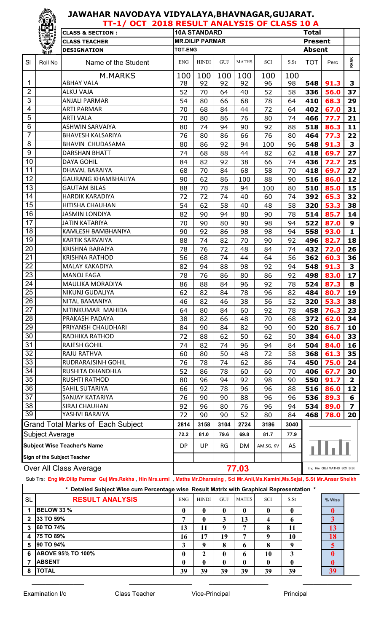|                 | ïËj,<br>TT-1/ OCT 2018 RESULT ANALYSIS OF CLASS 10 A |                                          |                |                        |      |              |           |      |               |                            |                         |  |  |
|-----------------|------------------------------------------------------|------------------------------------------|----------------|------------------------|------|--------------|-----------|------|---------------|----------------------------|-------------------------|--|--|
|                 |                                                      | <b>CLASS &amp; SECTION:</b>              |                | <b>10A STANDARD</b>    |      |              |           |      | <b>Total</b>  |                            |                         |  |  |
|                 | 基                                                    | <b>CLASS TEACHER</b>                     |                | <b>MR.DILIP PARMAR</b> |      |              |           |      | Present       |                            |                         |  |  |
|                 | 美學                                                   | <b>DESIGNATION</b>                       | <b>TGT-ENG</b> |                        |      |              |           |      | <b>Absent</b> |                            |                         |  |  |
| SI              | Roll No                                              | Name of the Student                      | <b>ENG</b>     | <b>HINDI</b>           | GUJ  | <b>MATHS</b> | SCI       | S.St | <b>TOT</b>    | Perc                       | <b>RANK</b>             |  |  |
|                 |                                                      | <u>M.MARKS</u>                           | 100            | 100                    | 100  | 100          | 100       | 100  |               |                            |                         |  |  |
| 1               |                                                      | <b>ABHAY VALA</b>                        | 78             | 92                     | 92   | 92           | 96        | 98   | 548           | 91.3                       | 3                       |  |  |
| $\overline{2}$  |                                                      | <b>ALKU VAJA</b>                         | 52             | 70                     | 64   | 40           | 52        | 58   | 336           | 56.0                       | 37                      |  |  |
| 3               |                                                      | <b>ANJALI PARMAR</b>                     | 54             | 80                     | 66   | 68           | 78        | 64   | 410           | 68.3                       | 29                      |  |  |
| 4               |                                                      | <b>ARTI PARMAR</b>                       | 70             | 68                     | 84   | 44           | 72        | 64   | 402           | 67.0                       | 31                      |  |  |
| 5               |                                                      | <b>ARTI VALA</b>                         | 70             | 80                     | 86   | 76           | 80        | 74   | 466           | 77.7                       | 21                      |  |  |
| $6\phantom{1}6$ |                                                      | <b>ASHWIN SARVAIYA</b>                   | 80             | 74                     | 94   | 90           | 92        | 88   | 518           | 86.3                       | 11                      |  |  |
| $\overline{7}$  |                                                      | <b>BHAVESH KALSARIYA</b>                 | 76             | 80                     | 86   | 66           | 76        | 80   | 464           | 77.3                       | 22                      |  |  |
| 8               |                                                      | <b>BHAVIN CHUDASAMA</b>                  | 80             | 86                     | 92   | 94           | 100       | 96   | 548           | 91.3                       | 3                       |  |  |
| 9               |                                                      | <b>DARSHAN BHATT</b>                     | 74             | 68                     | 88   | 44           | 82        | 62   | 418           | 69.7                       | 27                      |  |  |
| 10              |                                                      | <b>DAYA GOHIL</b>                        | 84             | 82                     | 92   | 38           | 66        | 74   | 436           | 72.7                       | 25                      |  |  |
| 11              |                                                      | DHAVAL BARAIYA                           | 68             | 70                     | 84   | 68           | 58        | 70   | 418           | 69.7                       | 27                      |  |  |
| 12              |                                                      | <b>GAURANG KHAMBHALIYA</b>               | 90             | 62                     | 86   | 100          | 88        | 90   | 516           | 86.0                       | 12                      |  |  |
| 13              |                                                      | <b>GAUTAM BILAS</b>                      | 88             | 70                     | 78   | 94           | 100       | 80   | 510           | 85.0                       | 15                      |  |  |
| 14              |                                                      | <b>HARDIK KARADIYA</b>                   | 72             | 72                     | 74   | 40           | 60        | 74   | 392           | 65.3                       | 32                      |  |  |
| 15              |                                                      | HITISHA CHAUHAN                          | 54             | 62                     | 58   | 40           | 48        | 58   | 320           | 53.3                       | 38                      |  |  |
| 16              |                                                      | <b>JASMIN LONDIYA</b>                    | 82             | 90                     | 94   | 80           | 90        | 78   | 514           | 85.7                       | 14                      |  |  |
| 17              |                                                      | <b>JATIN KATARIYA</b>                    | 70             | 90                     | 80   | 90           | 98        | 94   | 522           | 87.0                       | 9                       |  |  |
| 18              |                                                      | KAMLESH BAMBHANIYA                       | 90             | 92                     | 86   | 98           | 98        | 94   | 558           | 93.0                       | $\mathbf{1}$            |  |  |
| 19              |                                                      | <b>KARTIK SARVAIYA</b>                   | 88             | 74                     | 82   | 70           | 90        | 92   | 496           | 82.7                       | 18                      |  |  |
| 20              |                                                      | <b>KRISHNA BARAIYA</b>                   | 78             | 76                     | 72   | 48           | 84        | 74   | 432           | 72.0                       | 26                      |  |  |
| 21              |                                                      | <b>KRISHNA RATHOD</b>                    | 56             | 68                     | 74   | 44           | 64        | 56   | 362           | 60.3                       | 36                      |  |  |
| 22              |                                                      | <b>MALAY KAKADIYA</b>                    | 82             | 94                     | 88   | 98           | 92        | 94   | 548           | 91.3                       | 3                       |  |  |
| 23              |                                                      | <b>MANOJ FAGA</b>                        | 78             | 76                     | 86   | 80           | 86        | 92   | 498           | 83.0                       | 17                      |  |  |
| 24              |                                                      | MAULIKA MORADIYA                         | 86             | 88                     | 84   | 96           | 92        | 78   | 524           | 87.3                       | 8                       |  |  |
| $\overline{25}$ |                                                      | NIKUNJ GUDALIYA                          | 62             | 82                     | 84   | 78           | 96        | 82   | 484           | 80.7                       | 19                      |  |  |
| 26              |                                                      | NITAL BAMANIYA                           | 46             | 82                     | 46   | 38           | 56        | 52   | 320           | 53.3                       | 38                      |  |  |
| 27              |                                                      | NITINKUMAR MAHIDA                        | 64             | 80                     | 84   | 60           | 92        | 78   | 458           | 76.3                       | 23                      |  |  |
| 28              |                                                      | PRAKASH PADAYA                           | 38             | 82                     | 66   | 48           | 70        | 68   | 372           | 62.0                       | 34                      |  |  |
| 29              |                                                      | PRIYANSH CHAUDHARI                       | 84             | 90                     | 84   | 82           | 90        | 90   | 520           | 86.7                       | 10                      |  |  |
| 30              |                                                      | RADHIKA RATHOD                           | 72             | 88                     | 62   | 50           | 62        | 50   | 384           | 64.0                       | 33                      |  |  |
| 31              |                                                      | RAJESH GOHIL                             | 74             | 82                     | 74   | 96           | 94        | 84   | 504           | 84.0                       | 16                      |  |  |
| 32              |                                                      | RAJU RATHVA                              | 60             | 80                     | 50   | 48           | 72        | 58   | 368           | 61.3                       | 35                      |  |  |
| 33              |                                                      | RUDRARAJSINH GOHIL                       | 76             | 78                     | 74   | 62           | 86        | 74   | 450           | 75.0                       | 24                      |  |  |
| 34              |                                                      | RUSHITA DHANDHLA                         | 52             | 86                     | 78   | 60           | 60        | 70   | 406           | 67.7                       | 30                      |  |  |
| 35              |                                                      | <b>RUSHTI RATHOD</b>                     | 80             | 96                     | 94   | 92           | 98        | 90   | 550           | 91.7                       | $\overline{\mathbf{2}}$ |  |  |
| 36              |                                                      | SAHIL SUTARIYA                           | 66             | 92                     | 78   | 96           | 96        | 88   | 516           | 86.0                       | 12                      |  |  |
| 37              |                                                      | SANJAY KATARIYA                          | 76             | 90                     | 90   | 88           | 96        | 96   | 536           | 89.3                       | 6                       |  |  |
| 38              |                                                      | SIRAJ CHAUHAN                            | 92             | 96                     | 80   | 76           | 96        | 94   | 534           | 89.0                       | 7                       |  |  |
| 39              |                                                      | YASHVI BARAIYA                           | 72             | 90                     | 90   | 52           | 80        | 84   | 468           | 78.0                       | 20                      |  |  |
|                 |                                                      | <b>Grand Total Marks of Each Subject</b> | 2814           | 3158                   | 3104 | 2724         | 3186      | 3040 |               |                            |                         |  |  |
|                 | Subject Average                                      |                                          | 72.2           | 81.0                   | 79.6 | 69.8         | 81.7      | 77.9 |               |                            |                         |  |  |
|                 | <b>Subject Wise Teacher's Name</b>                   |                                          | DP             | UP                     | RG   | DM.          | AM,SG, KV | AS   |               | ահա                        |                         |  |  |
|                 | <b>Sign of the Subject Teacher</b>                   |                                          |                |                        |      |              |           |      |               |                            |                         |  |  |
|                 | Over All Class Average                               |                                          |                | 77.03                  |      |              |           |      |               | Eng Hin GUJ MATHS SCI S.St |                         |  |  |

Sub Trs: **Eng Mr.Dilip Parmar Guj Mrs.Rekha** , **Hin Mrs.urmi** , **Maths Mr.Dharasing , Sci Mr.Anil,Ms.Kamini,Ms.Sejal**, **S.St Mr.Ansar Sheikh**

|--|

| <b>SL</b>    | <b>RESULT ANALYSIS</b>   | <b>ENG</b> | <b>HINDI</b> | GUJ | <b>MATHS</b> | <b>SCI</b>    | S.S <sub>t</sub> | % Wise                  |
|--------------|--------------------------|------------|--------------|-----|--------------|---------------|------------------|-------------------------|
|              | <b>BELOW 33 %</b>        | 0          | $\mathbf{0}$ |     | $\mathbf{0}$ | 0             | 0                |                         |
| $\mathbf{2}$ | 33 TO 59%                | −          | $\mathbf{0}$ | 3   | 13           | 4             | o                | $\overline{\mathbf{3}}$ |
| 3            | 60 TO 74%                | 13         | 11           |     | −            | Ω<br>$\Omega$ | 11               | 13                      |
| 4            | 75 TO 89%                | 16         | 17           | 19  | 7            |               | 10               | 18                      |
| 5            | <b>90 TO 94%</b>         | 3          | q            | 8   | 6            | O             | Q                | 5                       |
| 6            | <b>ABOVE 95% TO 100%</b> | 0          | 2            |     | 6            | 10            | 3                |                         |
| 7            | <b>ABSENT</b>            | 0          | $\mathbf{0}$ |     | 0            | $\mathbf 0$   | 0                |                         |
| 8            | <b>TOTAL</b>             | 39         | 39           | 39  | 39           | 39            | 39               | 39                      |

\_\_\_\_\_\_\_\_\_\_\_\_\_\_\_ \_\_\_\_\_\_\_\_\_\_\_\_\_\_\_\_\_\_ \_\_\_\_\_\_\_\_\_\_\_\_\_\_\_\_\_ \_\_\_\_\_\_\_\_\_\_\_\_\_\_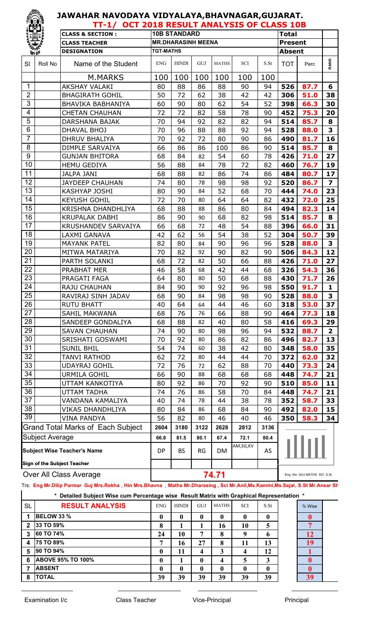|                        |                                    | TT-1/ OCT 2018 RESULT ANALYSIS OF CLASS 10B |                                     |                           |      |              |                 |      |                |      |                         |
|------------------------|------------------------------------|---------------------------------------------|-------------------------------------|---------------------------|------|--------------|-----------------|------|----------------|------|-------------------------|
|                        |                                    | <b>CLASS &amp; SECTION:</b>                 |                                     | <b>10B STANDARD</b>       |      |              |                 |      | <b>Total</b>   |      |                         |
|                        |                                    | <b>CLASS TEACHER</b>                        |                                     | <b>MR.DHARASINH MEENA</b> |      |              |                 |      | <b>Present</b> |      |                         |
| <b><i>ITH TEN</i></b>  |                                    | <b>DESIGNATION</b>                          | <b>TGT-MATHS</b>                    |                           |      |              |                 |      | <b>Absent</b>  |      |                         |
| SI                     | Roll No                            | Name of the Student                         | <b>ENG</b>                          | <b>HINDI</b>              | GUJ  | <b>MATHS</b> | <b>SCI</b>      | S.St | <b>TOT</b>     | Perc | <b>RANK</b>             |
|                        |                                    | M.MARKS                                     | 100                                 | 100                       | 100  | 100          | 100             | 100  |                |      |                         |
| $\mathbf{1}$           |                                    | <b>AKSHAY VALAKI</b>                        | 80                                  | 88                        | 86   | 88           | 90              | 94   | 526            | 87.7 | 6                       |
| $\overline{2}$         |                                    | <b>BHAGIRATH GOHIL</b>                      | 50                                  | 72                        | 62   | 38           | 42              | 42   | 306            | 51.0 | 38                      |
| 3                      |                                    | <b>BHAVIKA BABHANIYA</b>                    | 60                                  | 90                        | 80   | 62           | 54              | 52   | 398            | 66.3 | 30                      |
| 4                      |                                    | <b>CHETAN CHAUHAN</b>                       | 72                                  | 72                        | 82   | 58           | 78              | 90   | 452            | 75.3 | 20                      |
| 5                      |                                    | DARSHANA BAJAK                              | 70                                  | 94                        | 92   | 82           | 82              | 94   | 514            | 85.7 | 8                       |
| $6\phantom{1}$         |                                    | DHAVAL BHOJ                                 | 70                                  | 96                        | 88   | 88           | 92              | 94   | 528            | 88.0 | 3                       |
| $\overline{7}$         |                                    | <b>DHRUV BHALIYA</b>                        | 70                                  | 92                        | 72   | 80           | 90              | 86   | 490            | 81.7 | 16                      |
| 8                      |                                    | DIMPLE SARVAIYA                             | 66                                  | 86                        | 86   | 100          | 86              | 90   | 514            | 85.7 | 8                       |
| 9                      |                                    | <b>GUNJAN BHITORA</b>                       | 68                                  | 84                        | 82   | 54           | 60              | 78   | 426            | 71.0 | 27                      |
| 10                     |                                    | <b>HEMU GEDIYA</b>                          | 56                                  | 88                        | 84   | 78           | 72              | 82   | 460            | 76.7 | 19                      |
| 11                     |                                    | <b>JALPA JANI</b>                           | 68                                  | 88                        | 82   | 86           | 74              | 86   | 484            | 80.7 | 17                      |
| 12                     |                                    | <b>JAYDEEP CHAUHAN</b>                      | 74                                  | 80                        | 78   | 98           | 98              | 92   | 520            | 86.7 | $\overline{\mathbf{z}}$ |
| 13                     |                                    | <b>KASHYAP JOSHI</b>                        | 80                                  | 90                        | 84   | 52           | 68              | 70   | 444            | 74.0 | 23                      |
| 14                     |                                    | <b>KEYUSH GOHIL</b>                         | 72                                  | 70                        | 80   | 64           | 64              | 82   | 432            | 72.0 | 25                      |
| $\overline{15}$        |                                    | KRISHNA DHANDHLIYA                          | 68                                  | 88                        | 88   | 86           | 80              | 84   | 494            | 82.3 | 14                      |
| 16                     |                                    | <b>KRUPALAK DABHI</b>                       | 86                                  | 90                        | 90   | 68           | 82              | 98   | 514            | 85.7 | 8                       |
| 17                     |                                    | <b>KRUSHANDEV SARVAIYA</b>                  | 66                                  | 68                        | 72   | 48           | 54              | 88   | 396            | 66.0 | 31                      |
| 18                     |                                    | LAXMI GANAVA                                | 42                                  | 62                        | 56   | 54           | 38              | 52   | 304            | 50.7 | 39                      |
| $\overline{19}$        |                                    | <b>MAYANK PATEL</b>                         | 82                                  | 80                        | 84   | 90           | 96              | 96   | 528            | 88.0 | 3                       |
| 20                     |                                    | MITWA MATARIYA                              | 70                                  | 82                        | 92   | 90           | 82              | 90   | 506            | 84.3 | 12                      |
| 21                     |                                    | PARTH SOLANKI                               | 68                                  | 72                        | 82   | 50           | 66              | 88   | 426            | 71.0 | 27                      |
| 22                     |                                    | PRABHAT MER                                 | 46                                  | 58                        | 68   | 42           | 44              | 68   | 326            | 54.3 | 36                      |
| $\overline{23}$        |                                    | PRAGATI FAGA                                | 64                                  | 80                        | 80   | 50           | 68              | 88   | 430            | 71.7 | 26                      |
| 24                     |                                    | RAJU CHAUHAN                                | 84                                  | 90                        | 90   | 92           | 96              | 98   | 550            | 91.7 | $\mathbf{1}$            |
| 25                     |                                    | RAVIRAJ SINH JADAV                          | 68                                  | 90                        | 84   | 98           | 98              | 90   | 528            | 88.0 | 3                       |
| 26                     |                                    | <b>RUTU BHATT</b>                           | $\overline{40}$                     | 64                        | 64   | 44           | $\overline{46}$ | 60   | 318            | 53.0 | $\overline{37}$         |
| 27                     |                                    | <b>SAHIL MAKWANA</b>                        | 68                                  | 76                        | 76   | 66           | 88              | 90   | 464            | 77.3 | 18                      |
| 28                     |                                    | SANDEEP GONDALIYA                           | 68                                  | 88                        | 82   | 40           | 80              | 58   | 416            | 69.3 | 29                      |
| 29                     |                                    | <b>SAVAN CHAUHAN</b>                        | 74                                  | 90                        | 80   | 98           | 96              | 94   | 532            | 88.7 | $\mathbf{2}$            |
| 30                     |                                    | SRISHATI GOSWAMI                            | 70                                  | 92                        | 80   | 86           | 82              | 86   | 496            | 82.7 | 13                      |
| 31                     |                                    | <b>SUNIL BHIL</b>                           | 54                                  | 74                        | 60   | 38           | 42              | 80   | 348            | 58.0 | 35                      |
| 32                     |                                    | TANVI RATHOD                                | 62                                  | 72                        | 80   | 44           | 44              | 70   | 372            | 62.0 | 32                      |
| 33                     |                                    | <b>UDAYRAJ GOHIL</b>                        | 72                                  | 76                        | 72   | 62           | 88              | 70   | 440            | 73.3 | 24                      |
| 34                     |                                    | URMILA GOHIL                                | 66                                  | 90                        | 88   | 68           | 68              | 68   | 448            | 74.7 | 21                      |
| $\overline{35}$        |                                    | UTTAM KANKOTIYA                             | 80                                  | 92                        | 86   | 70           | 92              | 90   | 510            | 85.0 | 11                      |
| 36                     |                                    | UTTAM TADHA                                 | 74                                  | 76                        | 86   | 58           | 70              | 84   | 448            | 74.7 | 21                      |
| $\overline{37}$        |                                    | VANDANA KAMALIYA                            | 40                                  | 74                        | 78   | 44           | 38              | 78   | 352            | 58.7 | 33                      |
| 38                     |                                    | VIKAS DHANDHLIYA                            | 80                                  | 84                        | 86   | 68           | 84              | 90   | 492            | 82.0 | 15                      |
| 39                     |                                    | VINA PANDYA                                 | 56                                  | 82                        | 80   | 46           | 40              | 46   | 350            | 58.3 | 34                      |
|                        |                                    | <b>Grand Total Marks of Each Subject</b>    | 2604                                | 3180                      | 3122 | 2628         | 2812            | 3136 |                |      |                         |
|                        | <b>Subject Average</b>             |                                             | 66.8                                | 81.5                      | 80.1 | 67.4         | 72.1            | 80.4 |                |      |                         |
|                        | <b>Subject Wise Teacher's Name</b> |                                             | DP                                  | <b>BS</b>                 | RG   | DM           | AM,SG,KV        | AS   |                |      |                         |
|                        | <b>Sign of the Subject Teacher</b> |                                             |                                     |                           |      |              |                 |      |                |      |                         |
| Over All Class Average |                                    |                                             | 74.71<br>Eng Hin GUJ MATHS SCI S.St |                           |      |              |                 |      |                |      |                         |

Sub Trs: **Eng Mr.Dilip Parmar Guj Mrs.Rekha** , **Hin Mrs.Bhavna** , **Maths Mr.Dharasing , Sci Mr.Anil,Ms.Kamini,Ms.Sejal**, **S.St Mr.Ansar Sheikh**

|                         | Detailed Subject Wise cum Percentage wise Result Matrix with Graphical Representation *<br>$\star$ |              |              |              |              |            |              |        |  |
|-------------------------|----------------------------------------------------------------------------------------------------|--------------|--------------|--------------|--------------|------------|--------------|--------|--|
| <b>SL</b>               | <b>RESULT ANALYSIS</b>                                                                             | <b>ENG</b>   | <b>HINDI</b> | <b>GUJ</b>   | <b>MATHS</b> | <b>SCI</b> | S St         | % Wise |  |
|                         | <b>BELOW 33 %</b>                                                                                  | 0            | 0            | $\mathbf{0}$ |              | 0          | 0            | o      |  |
| $\mathbf{2}$            | 33 TO 59%                                                                                          | 8            |              |              | 16           | 10         | 5            | ៗ      |  |
| 3                       | <b>60 TO 74%</b>                                                                                   | 24           | 10           | 7            | 8            | 9          | 6            | 12     |  |
| $\overline{\mathbf{4}}$ | <b>75 TO 89%</b>                                                                                   |              | 16           | 27           | 8            | 11         | 13           | 19     |  |
| 5                       | 90 TO 94%                                                                                          | 0            | 11           | 4            | 3            | 4          | 12           |        |  |
| 6                       | <b>ABOVE 95% TO 100%</b>                                                                           | $\mathbf{0}$ |              | $\mathbf{0}$ | 4            | 5          | 3            |        |  |
|                         | <b>ABSENT</b>                                                                                      | $\mathbf{0}$ | 0            | 0            | 0            | 0          | $\mathbf{0}$ | 0      |  |
| 8                       | <b>TOTAL</b>                                                                                       | 39           | 39           | 39           | 39           | 39         | 39           | 39     |  |

\_\_\_\_\_\_\_\_\_\_\_\_\_\_\_ \_\_\_\_\_\_\_\_\_\_\_\_\_\_\_\_\_\_ \_\_\_\_\_\_\_\_\_\_\_\_\_\_\_\_\_ \_\_\_\_\_\_\_\_\_\_\_\_\_\_

**REA**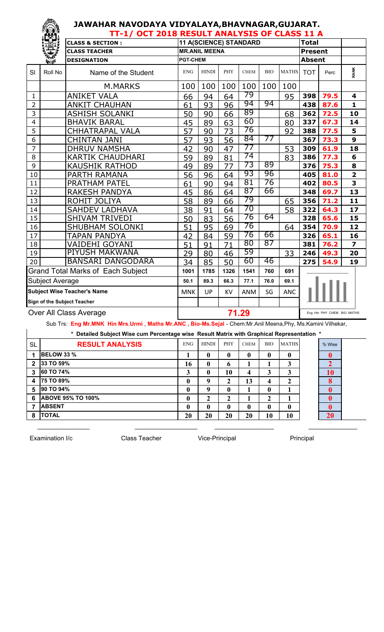#### **JAWAHAR NAVODAYA VIDYALAYA,BHAVNAGAR,GUJARAT. TT-1/ OCT 2018 RESULT ANALYSIS OF CLASS 11 A**

|                         | <b>LED!</b>            | TI-I) OCI ZUIO RESUET ANALISIS OI CEASS II A |                 |                      |       |                        |            |              |                |                            |                         |
|-------------------------|------------------------|----------------------------------------------|-----------------|----------------------|-------|------------------------|------------|--------------|----------------|----------------------------|-------------------------|
|                         |                        | <b>CLASS &amp; SECTION:</b>                  |                 |                      |       | 11 A(SCIENCE) STANDARD |            |              | <b>Total</b>   |                            |                         |
|                         |                        | <b>CLASS TEACHER</b>                         |                 | <b>MR.ANIL MEENA</b> |       |                        |            |              | <b>Present</b> |                            |                         |
|                         | <b><i>Port aft</i></b> | <b>DESIGNATION</b>                           | <b>PGT-CHEM</b> |                      |       |                        |            |              | <b>Absent</b>  |                            |                         |
| SI                      | Roll No                | Name of the Student                          | <b>ENG</b>      | <b>HINDI</b>         | PHY   | <b>CHEM</b>            | <b>BIO</b> | <b>MATHS</b> | <b>TOT</b>     | Perc                       | RANK                    |
|                         |                        | <b>M.MARKS</b>                               | 100             | 100                  | 100   | 100                    | 100        | 100          |                |                            |                         |
| 1                       |                        | ANIKET VALA                                  | 66              | 94                   | 64    | 79                     |            | 95           | 398            | 79.5                       | 4                       |
| $\overline{2}$          |                        | <b>ANKIT CHAUHAN</b>                         | 61              | 93                   | 96    | 94                     | 94         |              | 438            | 87.6                       | $\mathbf{1}$            |
| 3                       |                        | <b>ASHISH SOLANKI</b>                        | 50              | 90                   | 66    | 89                     |            | 68           | 362            | 72.5                       | 10                      |
| $\overline{\mathbf{4}}$ |                        | <b>BHAVIK BARAL</b>                          | 45              | 89                   | 63    | 60                     |            | 80           | 337            | 67.3                       | 14                      |
| 5                       |                        | <b>CHHATRAPAL VALA</b>                       | 57              | 90                   | 73    | 76                     |            | 92           | 388            | 77.5                       | 5                       |
| 6                       |                        | <b>CHINTAN JANI</b>                          | 57              | 93                   | 56    | 84                     | 77         |              | 367            | 73.3                       | 9                       |
| 7                       |                        | <b>DHRUV NAMSHA</b>                          | 42              | 90                   | 47    | 77                     |            | 53           | 309            | 61.9                       | 18                      |
| 8                       |                        | KARTIK CHAUDHARI                             | 59              | 89                   | 81    | 74                     |            | 83           | 386            | 77.3                       | 6                       |
| 9                       |                        | <b>KAUSHIK RATHOD</b>                        | 49              | 89                   | 77    | 73                     | 89         |              | 376            | 75.3                       | 8                       |
| 10                      |                        | PARTH RAMANA                                 | 56              | 96                   | 64    | 93                     | 96         |              | 405            | 81.0                       | $\overline{\mathbf{2}}$ |
| 11                      |                        | PRATHAM PATEL                                | 61              | 90                   | 94    | 81                     | 76         |              | 402            | 80.5                       | 3                       |
| 12                      |                        | <b>RAKESH PANDYA</b>                         | 45              | 86                   | 64    | 87                     | 66         |              | 348            | 69.7                       | 13                      |
| 13                      |                        | ROHIT JOLIYA                                 | 58              | 89                   | 66    | 79                     |            | 65           | 356            | 71.2                       | 11                      |
| 14                      |                        | <b>SAHDEV LADHAVA</b>                        | 38              | 91                   | 64    | 70                     |            | 58           | 322            | 64.3                       | 17                      |
| 15                      |                        | <b>SHIVAM TRIVEDI</b>                        | 50              | 83                   | 56    | 76                     | 64         |              | 328            | 65.6                       | 15                      |
| 16                      |                        | SHUBHAM SOLONKI                              | 51              | 95                   | 69    | 76                     |            | 64           | 354            | 70.9                       | 12                      |
| 17                      |                        | TAPAN PANDYA                                 | 42              | 84                   | 59    | 76                     | 66         |              | 326            | 65.1                       | 16                      |
| 18                      |                        | VAIDEHI GOYANI                               | 51              | 91                   | 71    | 80                     | 87         |              | 381            | 76.2                       | $\overline{\mathbf{z}}$ |
| 19                      |                        | PIYUSH MAKWANA                               | 29              | 80                   | 46    | 59                     |            | 33           | 246            | 49.3                       | 20                      |
| 20                      |                        | <b>BANSARI DANGODARA</b>                     | 34              | 85                   | 50    | 60                     | 46         |              | 275            | 54.9                       | 19                      |
|                         |                        | <b>Grand Total Marks of Each Subject</b>     | 1001            | 1785                 | 1326  | 1541                   | 760        | 691          |                |                            |                         |
|                         | <b>Subject Average</b> |                                              | 50.1            | 89.3                 | 66.3  | 77.1                   | 76.0       | 69.1         |                |                            |                         |
|                         |                        | <b>Subject Wise Teacher's Name</b>           | <b>MNK</b>      | UP                   | KV    | <b>ANM</b>             | SG         | <b>ANC</b>   |                |                            |                         |
|                         |                        | Sign of the Subject Teacher                  |                 |                      |       |                        |            |              |                |                            |                         |
|                         |                        | Over All Class Average                       |                 |                      | 71.29 |                        |            |              |                | Eng Hin PHY CHEM BIO MATHS |                         |

Sub Trs: **Eng Mr.MNK Hin Mrs.Urmi** , **Maths Mr.ANC , Bio-Ms.Sejal** - Chem:Mr.Anil Meena,Phy, Ms.Kamini Vilhekar,

\_\_\_\_\_\_\_\_\_\_\_\_\_\_\_ \_\_\_\_\_\_\_\_\_\_\_\_\_\_\_\_\_\_ \_\_\_\_\_\_\_\_\_\_\_\_\_\_\_\_\_ \_\_\_\_\_\_\_\_\_\_\_\_\_\_

|                  | * Detailed Subject Wise cum Percentage wise Result Matrix with Graphical Representation * |              |              |              |             |            |              |        |  |
|------------------|-------------------------------------------------------------------------------------------|--------------|--------------|--------------|-------------|------------|--------------|--------|--|
| <b>SL</b>        | <b>RESULT ANALYSIS</b>                                                                    | <b>ENG</b>   | <b>HINDI</b> | <b>PHY</b>   | <b>CHEM</b> | <b>BIO</b> | <b>MATHS</b> | % Wise |  |
|                  | <b>BELOW 33 %</b>                                                                         |              | 0            |              | 0           |            | 0            |        |  |
| $\overline{2}$   | 33 TO 59%                                                                                 | 16           | $\mathbf{0}$ | 6            |             |            | 3            | 2      |  |
| 3                | 60 TO 74%                                                                                 | 3            | $\mathbf 0$  | 10           | 4           |            | 3            | 10     |  |
| $\boldsymbol{4}$ | <b>75 TO 89%</b>                                                                          | $\mathbf 0$  | q            |              | 13          | 4          |              |        |  |
| 5                | 90 TO 94%                                                                                 | $\mathbf{0}$ | q            | $\mathbf{0}$ |             |            |              |        |  |
| 6                | <b>ABOVE 95% TO 100%</b>                                                                  | 0            | 2            | 2            |             |            |              |        |  |
| 7                | <b>ABSENT</b>                                                                             | 0            | $\mathbf{0}$ |              | 0           |            | $\bf{0}$     | 0      |  |
| 8                | <b>TOTAL</b>                                                                              | 20           | 20           | 20           | 20          | 10         | 10           | 20     |  |

Examination I/c **Class Teacher** Vice-Principal Principal Principal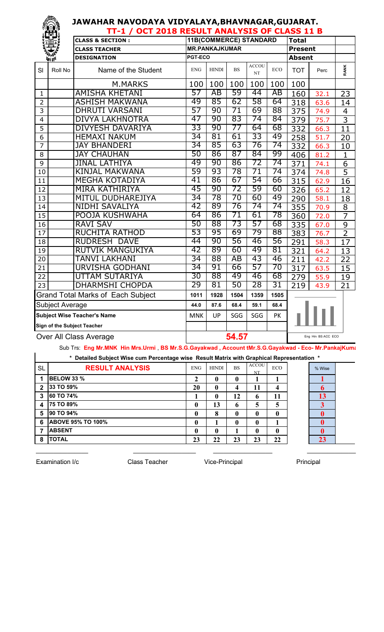|                 |                            | TT-1 / OCT 2018 RESULT ANALYSIS OF CLASS 11 B |            |                               |           |                    |            |                   |                    |                 |
|-----------------|----------------------------|-----------------------------------------------|------------|-------------------------------|-----------|--------------------|------------|-------------------|--------------------|-----------------|
|                 |                            | <b>CLASS &amp; SECTION:</b>                   |            | <b>11B(COMMERCE) STANDARD</b> |           |                    |            | <b>Total</b>      |                    |                 |
|                 |                            | <b>CLASS TEACHER</b>                          |            | <b>MR.PANKAJKUMAR</b>         |           |                    |            | <b>Present</b>    |                    |                 |
|                 | <b>Viri de<sup>n</sup></b> | <b>DESIGNATION</b>                            | PGT-ECO    |                               |           |                    |            | <b>Absent</b>     |                    |                 |
| SI              | Roll No                    | Name of the Student                           | <b>ENG</b> | <b>HINDI</b>                  | <b>BS</b> | <b>ACCOU</b><br>NT | <b>ECO</b> | <b>TOT</b>        | Perc               | <b>RANK</b>     |
|                 |                            | <b>M.MARKS</b>                                | 100        | 100                           | 100       | 100                | 100        | 100               |                    |                 |
| 1               |                            | <b>AMISHA KHETANI</b>                         | 57         | AB                            | 59        | 44                 | AB         | 160               | 32.1               | $\overline{23}$ |
| $\overline{2}$  |                            | <b>ASHISH MAKWANA</b>                         | 49         | 85                            | 62        | 58                 | 64         | $\overline{318}$  | 63.6               | 14              |
| 3               |                            | <b>DHRUTI VARSANI</b>                         | 57         | 90                            | 71        | 69                 | 88         | 375               | 74.9               | $\overline{4}$  |
| 4               |                            | <b>DIVYA LAKHNOTRA</b>                        | 47         | 90                            | 83        | 74                 | 84         | 379               | 75.7               | $\overline{3}$  |
| $\overline{5}$  |                            | <b>DIVYESH DAVARIYA</b>                       | 33         | 90                            | 77        | 64                 | 68         | 332               | 66.3               | 11              |
| 6               |                            | <b>HEMAXI NAKUM</b>                           | 34         | 81                            | 61        | 33                 | 49         | 258               | 51.7               | 20              |
| $\overline{7}$  |                            | <b>JAY BHANDERI</b>                           | 34         | 85                            | 63        | 76                 | 74         | 332               | 66.3               | 10              |
| 8               |                            | <b>JAY CHAUHAN</b>                            | 50         | 86                            | 87        | 84                 | 99         | 406               | 81.2               | $\mathbf{1}$    |
| 9               |                            | <b>JINAL LATHIYA</b>                          | 49         | 90                            | 86        | 72                 | 74         | $\overline{371}$  | 74.1               | $\overline{6}$  |
| 10              |                            | <b>KINJAL MAKWANA</b>                         | 59         | 93                            | 78        | 71                 | 74         | 374               | 74.8               | $\overline{5}$  |
| 11              |                            | <b>MEGHA KOTADIYA</b>                         | 41         | 86                            | 67        | 54                 | 66         | $\overline{3}$ 15 | 62.9               | 16              |
| 12              |                            | <b>MIRA KATHIRIYA</b>                         | 45         | 90                            | 72        | 59                 | 60         | 326               | 65.2               | 12              |
| 13              |                            | MITUL DUDHAREJIYA                             | 34         | 78                            | 70        | 60                 | 49         | $\frac{1}{290}$   | 58.1               | 18              |
| 14              |                            | <b>NIDHI SAVALIYA</b>                         | 42         | 89                            | 76        | 74                 | 74         | 355               | 70.9               | 8               |
| $\overline{15}$ |                            | POOJA KUSHWAHA                                | 64         | 86                            | 71        | 61                 | 78         | 360               | 72.0               | $\overline{7}$  |
| 16              |                            | <b>RAVI SAV</b>                               | 50         | 88                            | 73        | 57                 | 68         | $\frac{1}{335}$   | 67.0               | $\overline{9}$  |
| 17              |                            | <b>RUCHITA RATHOD</b>                         | 53         | 95                            | 69        | 79                 | 88         | 383               | 76.7               | $\overline{2}$  |
| 18              |                            | <b>RUDRESH</b><br><b>DAVE</b>                 | 44         | 90                            | 56        | 46                 | 56         | 291               | 58.3               | 17              |
| 19              |                            | <b>RUTVIK MANGUKIYA</b>                       | 42         | 89                            | 60        | 49                 | 81         | 321               | 64.2               | 13              |
| 20              |                            | <b>TANVI LAKHANI</b>                          | 34         | 88                            | AB        | 43                 | 46         | 211               | 42.2               | 22              |
| $\overline{21}$ |                            | <b>URVISHA GODHANI</b>                        | 34         | 91                            | 66        | 57                 | 70         | $\overline{317}$  | 63.5               | $\overline{15}$ |
| 22              |                            | <b>UTTAM SUTARIYA</b>                         | 30         | 88                            | 49        | 46                 | 68         | 279               | 55.9               | 19              |
| 23              |                            | <b>DHARMSHI CHOPDA</b>                        | 29         | 81                            | 50        | 28                 | 31         | 219               | 43.9               | 21              |
|                 |                            | <b>Grand Total Marks of Each Subject</b>      | 1011       | 1928                          | 1504      | 1359               | 1505       |                   |                    |                 |
|                 | Subject Average            |                                               | 44.0       | 87.6                          | 68.4      | 59.1               | 68.4       |                   |                    |                 |
|                 |                            | <b>Subject Wise Teacher's Name</b>            | <b>MNK</b> | UP                            | SGG       | SGG                | PK         |                   |                    |                 |
|                 |                            | <b>Sign of the Subject Teacher</b>            |            |                               |           |                    |            |                   |                    |                 |
|                 |                            | Over All Class Average                        |            |                               | 54.57     |                    |            |                   | Eng Hin BS ACC ECO |                 |

Sub Trs: **Eng Mr.MNK Hin Mrs.Urmi** , **BS Mr.S.G.Gayakwad , Account tMr.S.G.Gayakwad - Eco- Mr.PankajKumar**

| * Detailed Subject Wise cum Percentage wise Result Matrix with Graphical Representation * |
|-------------------------------------------------------------------------------------------|
|                                                                                           |

|              | * Detailed Subject Wise cum Percentage wise Result Matrix with Graphical Representation * |              |              |           |                    |            |          |  |
|--------------|-------------------------------------------------------------------------------------------|--------------|--------------|-----------|--------------------|------------|----------|--|
| <b>SL</b>    | <b>RESULT ANALYSIS</b>                                                                    | <b>ENG</b>   | <b>HINDI</b> | <b>BS</b> | <b>ACCOU</b><br>NT | <b>ECO</b> | % Wise   |  |
|              | <b>BELOW 33 %</b>                                                                         | 2            | 0            | 0         |                    |            |          |  |
| $\mathbf{2}$ | 33 TO 59%                                                                                 | 20           | 0            |           | 11                 | 4          | 6        |  |
| 3            | 60 TO 74%                                                                                 |              | 0            | 12        | 6                  | 11         | 13       |  |
| 4            | 75 TO 89%                                                                                 | $\mathbf{0}$ | 13           | O         | 5                  | 5          |          |  |
| 5            | 90 TO 94%                                                                                 | $\mathbf{0}$ | 8            | 0         | $\mathbf 0$        | 0          | $\bf{0}$ |  |
| 6            | <b>ABOVE 95% TO 100%</b>                                                                  | $\mathbf{0}$ |              |           | $\mathbf{0}$       |            | $\bf{0}$ |  |
| 7            | <b>ABSENT</b>                                                                             | $\mathbf{0}$ | 0            |           | $\mathbf{0}$       | 0          | $\bf{0}$ |  |
| 8            | <b>TOTAL</b>                                                                              | 23           | 22           | 23        | 23                 | 22         | 23       |  |

 $\_$  , and the set of the set of the set of the set of the set of the set of the set of the set of the set of the set of the set of the set of the set of the set of the set of the set of the set of the set of the set of th

Examination I/c **Class Teacher** Vice-Principal Principal Principal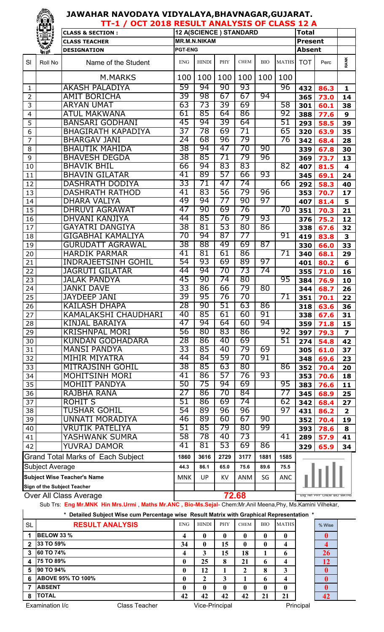|                 | ïËS Ï                  | TT-1 / OCT 2018 RESULT ANALYSIS OF CLASS 12 A                                                             |                |                     |      |                        |            |              |                |                            |                         |
|-----------------|------------------------|-----------------------------------------------------------------------------------------------------------|----------------|---------------------|------|------------------------|------------|--------------|----------------|----------------------------|-------------------------|
|                 |                        | <b>CLASS &amp; SECTION:</b>                                                                               |                |                     |      | 12 A(SCIENCE) STANDARD |            |              | <b>Total</b>   |                            |                         |
|                 | 掌                      | <b>CLASS TEACHER</b>                                                                                      |                | <b>MR.M.N.NIKAM</b> |      |                        |            |              | <b>Present</b> |                            |                         |
|                 | 美學                     | <b>DESIGNATION</b>                                                                                        | <b>PGT-ENG</b> |                     |      |                        |            |              | <b>Absent</b>  |                            |                         |
| SI              | Roll No                | Name of the Student                                                                                       | <b>ENG</b>     | <b>HINDI</b>        | PHY  | <b>CHEM</b>            | <b>BIO</b> | <b>MATHS</b> | <b>TOT</b>     | Perc                       | <b>RANK</b>             |
|                 |                        | <b>M.MARKS</b>                                                                                            | 100            | 100                 | 100  | 100                    | 100        | 100          |                |                            |                         |
| $\mathbf{1}$    |                        | <b>AKASH PALADIYA</b>                                                                                     | 59             | 94                  | 90   | 93                     |            | 96           | 432            | 86.3                       | $\mathbf{1}$            |
| $\overline{2}$  |                        | <b>AMIT BORICHA</b>                                                                                       | 39             | 98                  | 67   | 67                     | 94         |              | 365            | 73.0                       | 14                      |
| 3               |                        | <b>ARYAN UMAT</b>                                                                                         | 63             | 73                  | 39   | 69                     |            | 58           | 301            | 60.1                       | 38                      |
| $\overline{4}$  |                        | <b>ATUL MAKWANA</b>                                                                                       | 61             | 85                  | 64   | 86                     |            | 92           | 388            | 77.6                       | $\mathbf{9}$            |
| 5               |                        | <b>BANSARI GODHANI</b>                                                                                    | 45             | 94                  | 39   | 64                     |            | 51           | 293            | 58.5                       | 39                      |
| 6               |                        | <b>BHAGIRATH KAPADIYA</b>                                                                                 | 37             | 78                  | 69   | 71                     |            | 65           | 320            | 63.9                       | 35                      |
| $\overline{7}$  |                        | <b>BHARGAV JANI</b>                                                                                       | 24             | 68                  | 96   | 79                     |            | 76           | 342            | 68.4                       | 28                      |
| 8               |                        | <b>BHAUTIK MAHIDA</b>                                                                                     | 38             | 94                  | 47   | 70                     | 90         |              | 339            | 67.8                       | 30                      |
| 9               |                        | <b>BHAVESH DEGDA</b>                                                                                      | 38             | 85                  | 71   | 79                     | 96         |              | 369            | 73.7                       | 13                      |
| 10              |                        | <b>BHAVIK BHIL</b>                                                                                        | 66             | 94                  | 83   | 83                     |            | 82           | 407            | 81.5                       | $\overline{\mathbf{4}}$ |
| 11              |                        | <b>BHAVIN GILATAR</b>                                                                                     | 41             | 89                  | 57   | 66                     | 93         |              | 345            | 69.1                       | 24                      |
| 12              |                        | <b>DASHRATH DODIYA</b>                                                                                    | 33             | 71                  | 47   | 74                     |            | 66           | 292            | 58.3                       | 40                      |
| 13              |                        | <b>DASHRATH RATHOD</b>                                                                                    | 41             | 83                  | 56   | 79                     | 96         |              | 353            | 70.7                       | 17                      |
| 14              |                        | <b>DHARA VALIYA</b>                                                                                       | 49             | 94                  | 77   | 90                     | 97         |              | 407            | 81.4                       | 5                       |
| 15              |                        | <b>DHRUVI AGRAWAT</b>                                                                                     | 47             | 90                  | 69   | 76                     |            | 70           | 351            | 70.3                       | 21                      |
| 16              |                        | DHVANI KANJIYA                                                                                            | 44             | 85                  | 76   | 79                     | 93         |              | 376            | 75.2                       | 12                      |
| 17              |                        | <b>GAYATRI DANGIYA</b>                                                                                    | 38             | 81                  | 53   | 80                     | 86         |              | 338            | 67.6                       | 32                      |
| 18              |                        | GIGABHAI KAMALIYA                                                                                         | 70             | 94                  | 87   | 77                     |            | 91           | 419            | 83.8                       | 3                       |
| 19              |                        | <b>GURUDATT AGRAWAL</b>                                                                                   | 38             | 88                  | 49   | 69                     | 87         |              | 330            | 66.0                       | 33                      |
| 20              |                        | <b>HARDIK PARMAR</b>                                                                                      | 41             | 81                  | 61   | 86                     |            | 71           | 340            | 68.1                       | 29                      |
| 21              |                        | <b>INDRAJEETSINH GOHIL</b>                                                                                | 54             | 93                  | 69   | 89                     | 97         |              | 401            | 80.2                       | 6                       |
| 22              |                        | JAGRUTI GILATAR                                                                                           | 44             | 94                  | 70   | 73                     | 74         |              | 355            | 71.0                       | 16                      |
| 23              |                        | <b>JALAK PANDYA</b>                                                                                       | 45             | 90                  | 74   | 80                     |            | 95           | 384            | 76.9                       | 10                      |
| 24              |                        | <b>JANKI DAVE</b>                                                                                         | 33             | 86                  | 66   | 79                     | 80         |              | 344            | 68.7                       | 26                      |
| $\overline{25}$ |                        | <b>JAYDEEP JANI</b>                                                                                       | 39             | 95                  | 76   | 70                     |            | 71           | 351            | 70.1                       | 22                      |
| 26              |                        | KAILASH DHAPA                                                                                             | 28             | 90                  | 51   | 63                     | 86         |              | 318            | 63.6                       | 36                      |
| 27              |                        | KAMALAKSHI CHAUDHARI                                                                                      | 40             | 85                  | 61   | 60                     | 91         |              | 338            | 67.6                       | 31                      |
| 28              |                        | <b>KINJAL BARAIYA</b>                                                                                     | 47             | 94                  | 64   | 60                     | 94         |              | 359            | 71.8                       | 15                      |
| 29              |                        | <b>KRISHNPAL MORI</b>                                                                                     | 56             | 80                  | 83   | 86                     |            | 92           | 397            | 79.3                       | $\overline{\mathbf{z}}$ |
| 30              |                        | <b>KUNDAN GODHADARA</b>                                                                                   | 28             | 86                  | 40   | 69                     |            | 51           | 274            | 54.8                       | 42                      |
| 31              |                        | <b>MANSI PANDYA</b>                                                                                       | 33             | 85                  | 40   | 79                     | 69         |              | 305            | 61.0                       | 37                      |
| 32              |                        | <b>MIHIR MIYATRA</b>                                                                                      | 44             | 84                  | 59   | 70                     | 91         |              | 348            | 69.6                       | 23                      |
| 33              |                        | <b>MITRAJSINH GOHIL</b>                                                                                   | 38             | 85                  | 63   | 80                     |            | 86           | 352            | 70.4                       | 20                      |
| 34              |                        | <b>MOHITSINH MORI</b>                                                                                     | 41             | 86                  | 57   | 76                     | 93         |              | 353            | 70.6                       | 18                      |
| 35              |                        | <b>MOHIIT PANDYA</b>                                                                                      | 50             | 75                  | 94   | 69                     |            | 95           | 383            | 76.6                       | 11                      |
| 36              |                        | RAJBHA RANA                                                                                               | 27             | 86                  | 70   | 84                     |            | 77           | 345            | 68.9                       | 25                      |
| 37              |                        | <b>ROHIT S</b>                                                                                            | 51             | 86                  | 69   | 74                     |            | 62           | 342            | 68.4                       | 27                      |
| 38              |                        | <b>TUSHAR GOHIL</b>                                                                                       | 54             | 89                  | 96   | 96                     |            | 97           | 431            | 86.2                       | $\overline{\mathbf{2}}$ |
| 39              |                        | UNNATI MORADIYA                                                                                           | 46             | 89                  | 60   | 67                     | 90         |              | 352            | 70.4                       | 19                      |
| 40              |                        | VRUTIK PATELIYA                                                                                           | 51             | 85                  | 79   | 80                     | 99         |              | 393            | 78.6                       | 8                       |
| 41              |                        | YASHWANK SUMRA                                                                                            | 58             | 78                  | 40   | 73                     |            | 41           | 289            | 57.9                       | 41                      |
| 42              |                        | YUVRAJ DAMOR                                                                                              | 41             | 81                  | 53   | 69                     | 86         |              | 329            | 65.9                       | 34                      |
|                 |                        | <b>Grand Total Marks of Each Subject</b>                                                                  | 1860           | 3616                | 2729 | 3177                   | 1881       | 1585         |                |                            |                         |
|                 | <b>Subject Average</b> |                                                                                                           | 44.3           | 86.1                | 65.0 | 75.6                   | 89.6       | 75.5         |                |                            |                         |
|                 |                        | <b>Subject Wise Teacher's Name</b>                                                                        | <b>MNK</b>     | UP.                 | KV.  | <b>ANM</b>             | SG         | ANC          |                |                            |                         |
|                 |                        | Sign of the Subject Teacher                                                                               |                |                     |      |                        |            |              |                |                            |                         |
|                 |                        | Over All Class Average                                                                                    |                |                     |      | 72.68                  |            |              |                | Eng Hin PHY CHEM BIO MATHS |                         |
|                 |                        | Sub Trs: Eng Mr.MNK Hin Mrs.Urmi, Maths Mr.ANC, Bio-Ms.Sejal-Chem:Mr.Anil Meena, Phy, Ms.Kamini Vilhekar, |                |                     |      |                        |            |              |                |                            |                         |
|                 |                        | * Detailed Subject Wise cum Percentage wise Pesult Matrix with Crapbical Penresentation *                 |                |                     |      |                        |            |              |                |                            |                         |

|           | Detailed Subject Wise cum Percentage wise Result Matrix with Graphical Representation * |            |                |            |             |            |              |           |        |
|-----------|-----------------------------------------------------------------------------------------|------------|----------------|------------|-------------|------------|--------------|-----------|--------|
| <b>SL</b> | <b>RESULT ANALYSIS</b>                                                                  | <b>ENG</b> | <b>HINDI</b>   | <b>PHY</b> | <b>CHEM</b> | <b>BIO</b> | <b>MATHS</b> |           | % Wise |
|           | <b>BELOW 33 %</b>                                                                       | 4          | $\mathbf{0}$   | 0          |             | 0          | 0            |           |        |
| 2         | 33 TO 59%                                                                               | 34         | 0              | 15         |             | 0          | 4            |           |        |
| 3         | 60 TO 74%                                                                               | 4          | 3              | 15         | 18          |            | 6            |           | 26     |
| 4         | 75 TO 89%                                                                               | 0          | 25             | 8          | 21          | 6          | 4            |           | 12     |
| 5         | 90 TO 94%                                                                               | 0          | 12             |            |             | 8          | 3            |           |        |
| 6         | <b>ABOVE 95% TO 100%</b>                                                                | 0          |                | 3          |             | 6          | 4            |           |        |
|           | <b>ABSENT</b>                                                                           | 0          | $\mathbf{0}$   | 0          |             | 0          | 0            |           |        |
| 8         | <b>TOTAL</b>                                                                            | 42         | 42             | 42         | 42          | 21         | 21           |           | 42     |
|           | Examination I/c<br>Class Teacher                                                        |            | Vice-Principal |            |             |            |              | Principal |        |

**READERS**